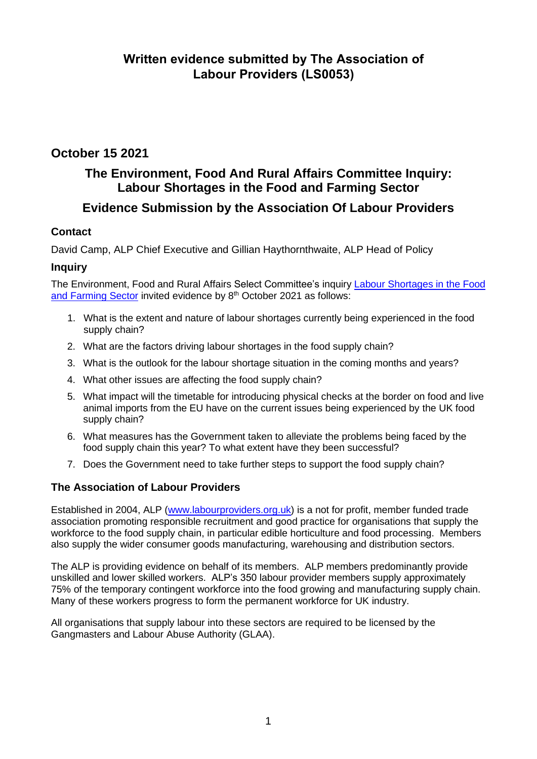### **October 15 2021**

### **The Environment, Food And Rural Affairs Committee Inquiry: Labour Shortages in the Food and Farming Sector**

### **Evidence Submission by the Association Of Labour Providers**

### **Contact**

David Camp, ALP Chief Executive and Gillian Haythornthwaite, ALP Head of Policy

### **Inquiry**

The Environment, Food and Rural Affairs Select Committee's inquiry [Labour Shortages in the Food](https://committees.parliament.uk/work/1497/labour-shortages-in-the-food-and-farming-sector/)  [and Farming Sector](https://committees.parliament.uk/work/1497/labour-shortages-in-the-food-and-farming-sector/) invited evidence by 8<sup>th</sup> October 2021 as follows:

- 1. What is the extent and nature of labour shortages currently being experienced in the food supply chain?
- 2. What are the factors driving labour shortages in the food supply chain?
- 3. What is the outlook for the labour shortage situation in the coming months and years?
- 4. What other issues are affecting the food supply chain?
- 5. What impact will the timetable for introducing physical checks at the border on food and live animal imports from the EU have on the current issues being experienced by the UK food supply chain?
- 6. What measures has the Government taken to alleviate the problems being faced by the food supply chain this year? To what extent have they been successful?
- 7. Does the Government need to take further steps to support the food supply chain?

### **The Association of Labour Providers**

Established in 2004, ALP [\(www.labourproviders.org.uk\)](http://www.labourproviders.org.uk/) is a not for profit, member funded trade association promoting responsible recruitment and good practice for organisations that supply the workforce to the food supply chain, in particular edible horticulture and food processing. Members also supply the wider consumer goods manufacturing, warehousing and distribution sectors.

The ALP is providing evidence on behalf of its members. ALP members predominantly provide unskilled and lower skilled workers. ALP's 350 labour provider members supply approximately 75% of the temporary contingent workforce into the food growing and manufacturing supply chain. Many of these workers progress to form the permanent workforce for UK industry.

All organisations that supply labour into these sectors are required to be licensed by the Gangmasters and Labour Abuse Authority (GLAA).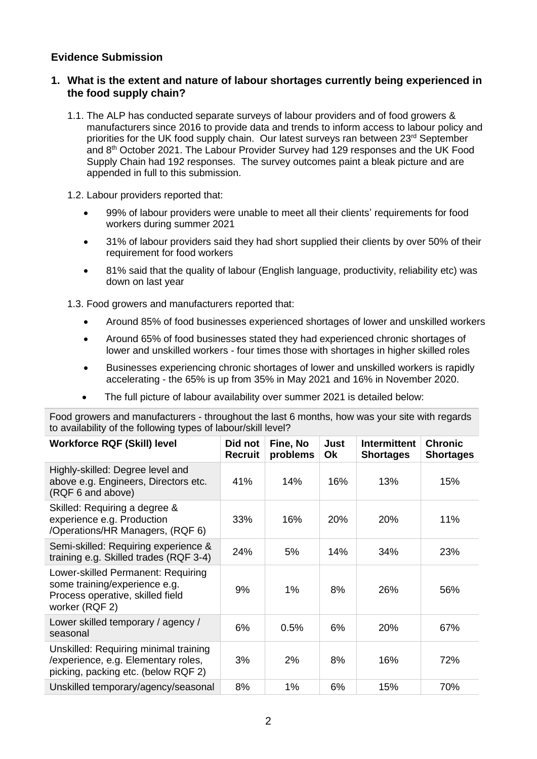### **Evidence Submission**

### **1. What is the extent and nature of labour shortages currently being experienced in the food supply chain?**

- 1.1. The ALP has conducted separate surveys of labour providers and of food growers & manufacturers since 2016 to provide data and trends to inform access to labour policy and priorities for the UK food supply chain. Our latest surveys ran between  $23<sup>rd</sup>$  September and 8<sup>th</sup> October 2021. The Labour Provider Survey had 129 responses and the UK Food Supply Chain had 192 responses. The survey outcomes paint a bleak picture and are appended in full to this submission.
- 1.2. Labour providers reported that:
	- 99% of labour providers were unable to meet all their clients' requirements for food workers during summer 2021
	- 31% of labour providers said they had short supplied their clients by over 50% of their requirement for food workers
	- 81% said that the quality of labour (English language, productivity, reliability etc) was down on last year
- 1.3. Food growers and manufacturers reported that:
	- Around 85% of food businesses experienced shortages of lower and unskilled workers
	- Around 65% of food businesses stated they had experienced chronic shortages of lower and unskilled workers - four times those with shortages in higher skilled roles
	- Businesses experiencing chronic shortages of lower and unskilled workers is rapidly accelerating - the 65% is up from 35% in May 2021 and 16% in November 2020.
	- The full picture of labour availability over summer 2021 is detailed below:

Food growers and manufacturers - throughout the last 6 months, how was your site with regards to availability of the following types of labour/skill level?

| to availability of the following typed of labour/orth lover.                                                              |                    |                      |            |                                         |                                    |  |
|---------------------------------------------------------------------------------------------------------------------------|--------------------|----------------------|------------|-----------------------------------------|------------------------------------|--|
| <b>Workforce RQF (Skill) level</b>                                                                                        | Did not<br>Recruit | Fine, No<br>problems | Just<br>Ok | <b>Intermittent</b><br><b>Shortages</b> | <b>Chronic</b><br><b>Shortages</b> |  |
| Highly-skilled: Degree level and<br>above e.g. Engineers, Directors etc.<br>(RQF 6 and above)                             | 41%                | 14%                  | 16%        | 13%                                     | 15%                                |  |
| Skilled: Requiring a degree &<br>experience e.g. Production<br>/Operations/HR Managers, (RQF 6)                           | 33%                | 16%                  | <b>20%</b> | 20%                                     | 11%                                |  |
| Semi-skilled: Requiring experience &<br>training e.g. Skilled trades (RQF 3-4)                                            | 24%                | 5%                   | 14%        | 34%                                     | 23%                                |  |
| Lower-skilled Permanent: Requiring<br>some training/experience e.g.<br>Process operative, skilled field<br>worker (RQF 2) | 9%                 | 1%                   | 8%         | 26%                                     | 56%                                |  |
| Lower skilled temporary / agency /<br>seasonal                                                                            | 6%                 | 0.5%                 | 6%         | 20%                                     | 67%                                |  |
| Unskilled: Requiring minimal training<br>/experience, e.g. Elementary roles,<br>picking, packing etc. (below RQF 2)       | 3%                 | 2%                   | 8%         | 16%                                     | 72%                                |  |
| Unskilled temporary/agency/seasonal                                                                                       | 8%                 | 1%                   | 6%         | 15%                                     | 70%                                |  |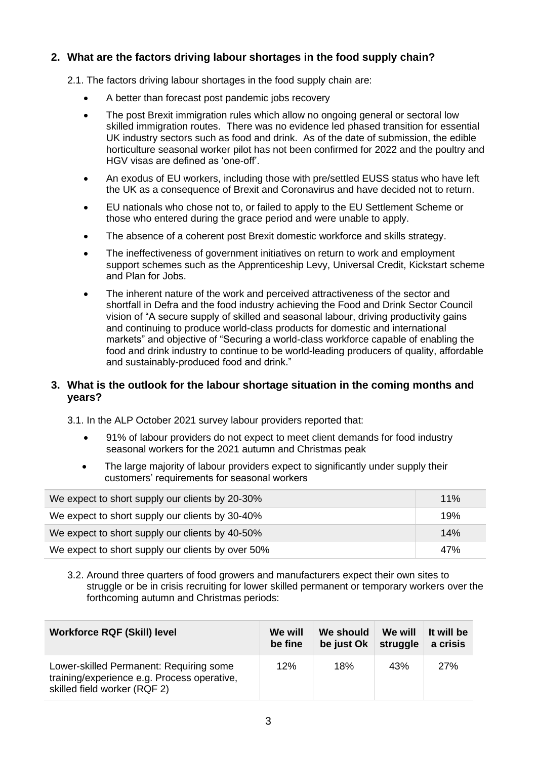### **2. What are the factors driving labour shortages in the food supply chain?**

- 2.1. The factors driving labour shortages in the food supply chain are:
	- A better than forecast post pandemic jobs recovery
	- The post Brexit immigration rules which allow no ongoing general or sectoral low skilled immigration routes. There was no evidence led phased transition for essential UK industry sectors such as food and drink. As of the date of submission, the edible horticulture seasonal worker pilot has not been confirmed for 2022 and the poultry and HGV visas are defined as 'one-off'.
	- An exodus of EU workers, including those with pre/settled EUSS status who have left the UK as a consequence of Brexit and Coronavirus and have decided not to return.
	- EU nationals who chose not to, or failed to apply to the EU Settlement Scheme or those who entered during the grace period and were unable to apply.
	- The absence of a coherent post Brexit domestic workforce and skills strategy.
	- The ineffectiveness of government initiatives on return to work and employment support schemes such as the Apprenticeship Levy, Universal Credit, Kickstart scheme and Plan for Jobs.
	- The inherent nature of the work and perceived attractiveness of the sector and shortfall in Defra and the food industry achieving the Food and Drink Sector Council vision of "A secure supply of skilled and seasonal labour, driving productivity gains and continuing to produce world-class products for domestic and international markets" and objective of "Securing a world-class workforce capable of enabling the food and drink industry to continue to be world-leading producers of quality, affordable and sustainably-produced food and drink."

### **3. What is the outlook for the labour shortage situation in the coming months and years?**

3.1. In the ALP October 2021 survey labour providers reported that:

- 91% of labour providers do not expect to meet client demands for food industry seasonal workers for the 2021 autumn and Christmas peak
- The large majority of labour providers expect to significantly under supply their customers' requirements for seasonal workers

| We expect to short supply our clients by 20-30%   | 11% |
|---------------------------------------------------|-----|
| We expect to short supply our clients by 30-40%   | 19% |
| We expect to short supply our clients by 40-50%   | 14% |
| We expect to short supply our clients by over 50% | 47% |

3.2. Around three quarters of food growers and manufacturers expect their own sites to struggle or be in crisis recruiting for lower skilled permanent or temporary workers over the forthcoming autumn and Christmas periods:

| <b>Workforce RQF (Skill) level</b>                                                                                     | We will | We should  | We will  | It will be |
|------------------------------------------------------------------------------------------------------------------------|---------|------------|----------|------------|
|                                                                                                                        | be fine | be just Ok | struggle | a crisis   |
| Lower-skilled Permanent: Requiring some<br>training/experience e.g. Process operative,<br>skilled field worker (RQF 2) | 12%     | 18%        | 43%      | 27%        |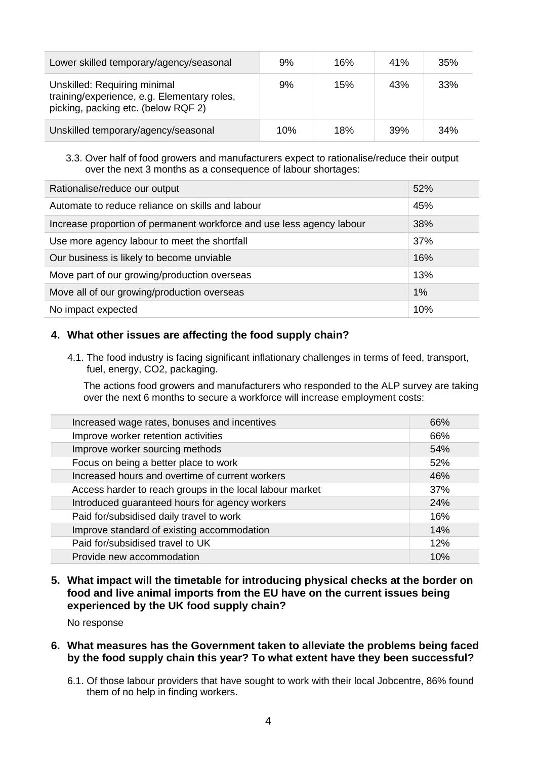| Lower skilled temporary/agency/seasonal                                                                            | 9%  | 16% | 41% | 35% |
|--------------------------------------------------------------------------------------------------------------------|-----|-----|-----|-----|
| Unskilled: Requiring minimal<br>training/experience, e.g. Elementary roles,<br>picking, packing etc. (below RQF 2) | 9%  | 15% | 43% | 33% |
| Unskilled temporary/agency/seasonal                                                                                | 10% | 18% | 39% | 34% |

### 3.3. Over half of food growers and manufacturers expect to rationalise/reduce their output over the next 3 months as a consequence of labour shortages:

| Rationalise/reduce our output                                         | 52% |
|-----------------------------------------------------------------------|-----|
| Automate to reduce reliance on skills and labour                      | 45% |
| Increase proportion of permanent workforce and use less agency labour | 38% |
| Use more agency labour to meet the shortfall                          | 37% |
| Our business is likely to become unviable                             | 16% |
| Move part of our growing/production overseas                          | 13% |
| Move all of our growing/production overseas                           | 1%  |
| No impact expected                                                    | 10% |

### **4. What other issues are affecting the food supply chain?**

4.1. The food industry is facing significant inflationary challenges in terms of feed, transport, fuel, energy, CO2, packaging.

The actions food growers and manufacturers who responded to the ALP survey are taking over the next 6 months to secure a workforce will increase employment costs:

| Increased wage rates, bonuses and incentives             | 66% |
|----------------------------------------------------------|-----|
| Improve worker retention activities                      | 66% |
| Improve worker sourcing methods                          | 54% |
| Focus on being a better place to work                    | 52% |
| Increased hours and overtime of current workers          | 46% |
| Access harder to reach groups in the local labour market | 37% |
| Introduced guaranteed hours for agency workers           | 24% |
| Paid for/subsidised daily travel to work                 | 16% |
| Improve standard of existing accommodation               | 14% |
| Paid for/subsidised travel to UK                         | 12% |
| Provide new accommodation                                | 10% |

### **5. What impact will the timetable for introducing physical checks at the border on food and live animal imports from the EU have on the current issues being experienced by the UK food supply chain?**

No response

### **6. What measures has the Government taken to alleviate the problems being faced by the food supply chain this year? To what extent have they been successful?**

6.1. Of those labour providers that have sought to work with their local Jobcentre, 86% found them of no help in finding workers.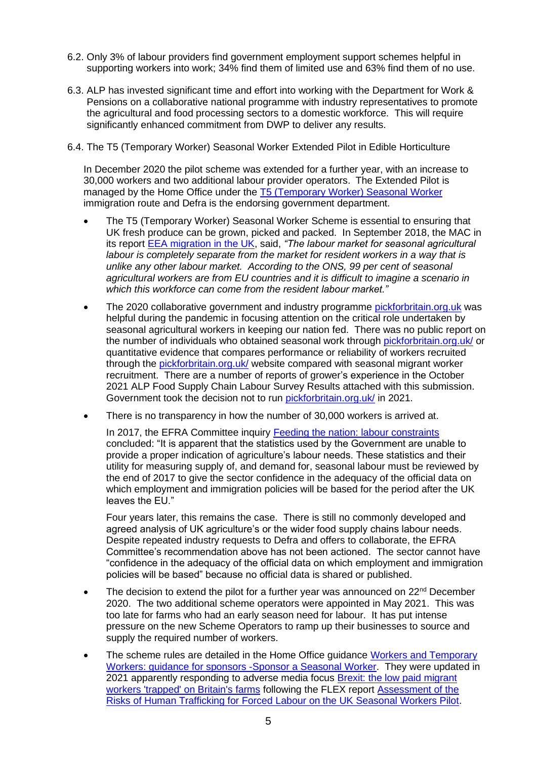- 6.2. Only 3% of labour providers find government employment support schemes helpful in supporting workers into work; 34% find them of limited use and 63% find them of no use.
- 6.3. ALP has invested significant time and effort into working with the Department for Work & Pensions on a collaborative national programme with industry representatives to promote the agricultural and food processing sectors to a domestic workforce. This will require significantly enhanced commitment from DWP to deliver any results.
- 6.4. The T5 (Temporary Worker) Seasonal Worker Extended Pilot in Edible Horticulture

In December 2020 the pilot scheme was extended for a further year, with an increase to 30,000 workers and two additional labour provider operators. The Extended Pilot is managed by the Home Office under the [T5 \(Temporary Worker\) Seasonal Worker](https://assets.publishing.service.gov.uk/government/uploads/system/uploads/attachment_data/file/987899/2021-05-17_Sponsor-a-Seasonal-worker_05-21_v1.0.pdf) immigration route and Defra is the endorsing government department.

- The T5 (Temporary Worker) Seasonal Worker Scheme is essential to ensuring that UK fresh produce can be grown, picked and packed. In September 2018, the MAC in its report [EEA migration in the UK,](https://assets.publishing.service.gov.uk/government/uploads/system/uploads/attachment_data/file/741926/Final_EEA_report.PDF) said, *"The labour market for seasonal agricultural labour is completely separate from the market for resident workers in a way that is unlike any other labour market. According to the ONS, 99 per cent of seasonal agricultural workers are from EU countries and it is difficult to imagine a scenario in which this workforce can come from the resident labour market."*
- The 2020 collaborative government and industry programme [pickforbritain.org.uk](https://pickforbritain.org.uk/) was helpful during the pandemic in focusing attention on the critical role undertaken by seasonal agricultural workers in keeping our nation fed. There was no public report on the number of individuals who obtained seasonal work through [pickforbritain.org.uk/](https://pickforbritain.org.uk/) or quantitative evidence that compares performance or reliability of workers recruited through the [pickforbritain.org.uk/](https://pickforbritain.org.uk/) website compared with seasonal migrant worker recruitment. There are a number of reports of grower's experience in the October 2021 ALP Food Supply Chain Labour Survey Results attached with this submission. Government took the decision not to run [pickforbritain.org.uk/](https://pickforbritain.org.uk/) in 2021.
- There is no transparency in how the number of 30,000 workers is arrived at.

In 2017, the EFRA Committee inquiry [Feeding the nation: labour constraints](https://publications.parliament.uk/pa/cm201617/cmselect/cmenvfru/1009/100905.htm) concluded: "It is apparent that the statistics used by the Government are unable to provide a proper indication of agriculture's labour needs. These statistics and their utility for measuring supply of, and demand for, seasonal labour must be reviewed by the end of 2017 to give the sector confidence in the adequacy of the official data on which employment and immigration policies will be based for the period after the UK leaves the EU."

Four years later, this remains the case. There is still no commonly developed and agreed analysis of UK agriculture's or the wider food supply chains labour needs. Despite repeated industry requests to Defra and offers to collaborate, the EFRA Committee's recommendation above has not been actioned. The sector cannot have "confidence in the adequacy of the official data on which employment and immigration policies will be based" because no official data is shared or published.

- The decision to extend the pilot for a further year was announced on  $22<sup>nd</sup>$  December 2020. The two additional scheme operators were appointed in May 2021. This was too late for farms who had an early season need for labour. It has put intense pressure on the new Scheme Operators to ramp up their businesses to source and supply the required number of workers.
- The scheme rules are detailed in the Home Office guidance Workers and Temporary [Workers: guidance for sponsors -Sponsor a Seasonal Worker.](https://www.gov.uk/government/publications/workers-and-temporary-workers-guidance-for-sponsors-sponsor-a-seasonal-worker) They were updated in 2021 apparently responding to adverse media focus [Brexit: the low paid migrant](https://urldefense.com/v3/__https:/www.ft.com/content/11e49a14-5b89-4f23-ba47-2cde24dcd1ef__;!!JUyETn1neQ!v5i6k2KadSl2jiNhgIwUf3ne-a-4TRy1Dt7MwUkOPNOBuWPchIwX0uLED1MhLeeO$)  workers ['trapped' on Britain's farms](https://urldefense.com/v3/__https:/www.ft.com/content/11e49a14-5b89-4f23-ba47-2cde24dcd1ef__;!!JUyETn1neQ!v5i6k2KadSl2jiNhgIwUf3ne-a-4TRy1Dt7MwUkOPNOBuWPchIwX0uLED1MhLeeO$) following the FLEX report [Assessment of the](https://labourexploitation.org/publications/assessment-risks-human-trafficking-forced-labour-uk-seasonal-workers-pilot#overlay-context=publications/assessment-risks-human-trafficking-forced-labour-uk-seasonal-workers-pilot)  [Risks of Human Trafficking for Forced Labour on the UK Seasonal Workers Pilot.](https://labourexploitation.org/publications/assessment-risks-human-trafficking-forced-labour-uk-seasonal-workers-pilot#overlay-context=publications/assessment-risks-human-trafficking-forced-labour-uk-seasonal-workers-pilot)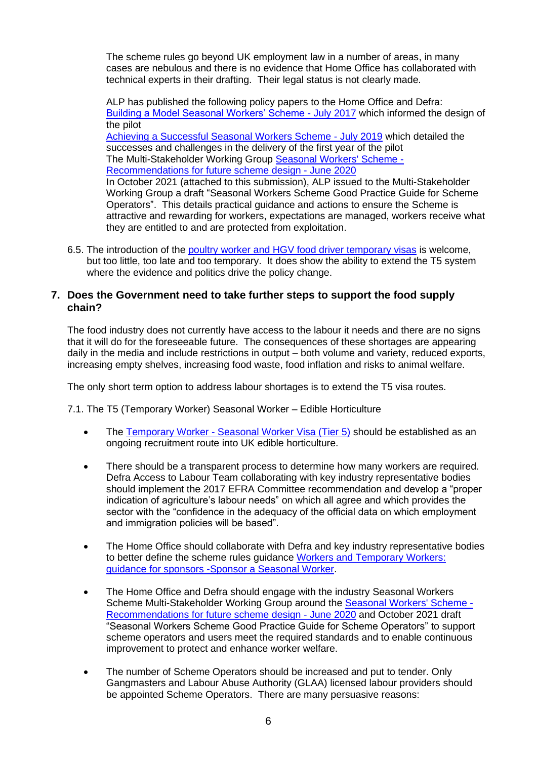The scheme rules go beyond UK employment law in a number of areas, in many cases are nebulous and there is no evidence that Home Office has collaborated with technical experts in their drafting. Their legal status is not clearly made.

ALP has published the following policy papers to the Home Office and Defra: [Building a Model Seasonal Workers' Scheme -](https://labourproviders.org.uk/wp-content/uploads/2017/05/Building-a-Model-Seasonal-Workers-Scheme-ALP-Postion-Paper-July-2017.pdf) July 2017 which informed the design of the pilot [Achieving a Successful Seasonal Workers Scheme -](https://labourproviders.org.uk/wp-content/uploads/2019/07/Achieving-a-Successful-Seasonal-Workers-Scheme-ALP-Paper-July-2019.pdf) July 2019 which detailed the successes and challenges in the delivery of the first year of the pilot The Multi-Stakeholder Working Group [Seasonal Workers' Scheme -](https://labourproviders.org.uk/wp-content/uploads/2020/07/Seasonal-Workers-Scheme-MSWG-Recommendations-June-2020.pdf) [Recommendations for future scheme design -](https://labourproviders.org.uk/wp-content/uploads/2020/07/Seasonal-Workers-Scheme-MSWG-Recommendations-June-2020.pdf) June 2020 In October 2021 (attached to this submission), ALP issued to the Multi-Stakeholder Working Group a draft "Seasonal Workers Scheme Good Practice Guide for Scheme Operators". This details practical guidance and actions to ensure the Scheme is attractive and rewarding for workers, expectations are managed, workers receive what they are entitled to and are protected from exploitation.

6.5. The introduction of the poultry worker and [HGV food driver temporary visas](Recruit%20a%20poultry%20worker%20or%20HGV%20food%20driver%20with%20a%20temporary%20visa) is welcome, but too little, too late and too temporary. It does show the ability to extend the T5 system where the evidence and politics drive the policy change.

### **7. Does the Government need to take further steps to support the food supply chain?**

The food industry does not currently have access to the labour it needs and there are no signs that it will do for the foreseeable future. The consequences of these shortages are appearing daily in the media and include restrictions in output – both volume and variety, reduced exports, increasing empty shelves, increasing food waste, food inflation and risks to animal welfare.

The only short term option to address labour shortages is to extend the T5 visa routes.

7.1. The T5 (Temporary Worker) Seasonal Worker – Edible Horticulture

- The Temporary Worker [Seasonal Worker Visa \(Tier 5\)](https://www.gov.uk/tier-5-seasonal-worker-visa) should be established as an ongoing recruitment route into UK edible horticulture.
- There should be a transparent process to determine how many workers are required. Defra Access to Labour Team collaborating with key industry representative bodies should implement the 2017 EFRA Committee recommendation and develop a "proper indication of agriculture's labour needs" on which all agree and which provides the sector with the "confidence in the adequacy of the official data on which employment and immigration policies will be based".
- The Home Office should collaborate with Defra and key industry representative bodies to better define the scheme rules guidance [Workers and Temporary Workers:](https://www.gov.uk/government/publications/workers-and-temporary-workers-guidance-for-sponsors-sponsor-a-seasonal-worker) [guidance for sponsors -Sponsor a Seasonal Worker.](https://www.gov.uk/government/publications/workers-and-temporary-workers-guidance-for-sponsors-sponsor-a-seasonal-worker)
- The Home Office and Defra should engage with the industry Seasonal Workers Scheme Multi-Stakeholder Working Group around the **Seasonal Workers' Scheme** -[Recommendations for future scheme design -](https://labourproviders.org.uk/wp-content/uploads/2020/07/Seasonal-Workers-Scheme-MSWG-Recommendations-June-2020.pdf) June 2020 and October 2021 draft "Seasonal Workers Scheme Good Practice Guide for Scheme Operators" to support scheme operators and users meet the required standards and to enable continuous improvement to protect and enhance worker welfare.
- The number of Scheme Operators should be increased and put to tender. Only Gangmasters and Labour Abuse Authority (GLAA) licensed labour providers should be appointed Scheme Operators. There are many persuasive reasons: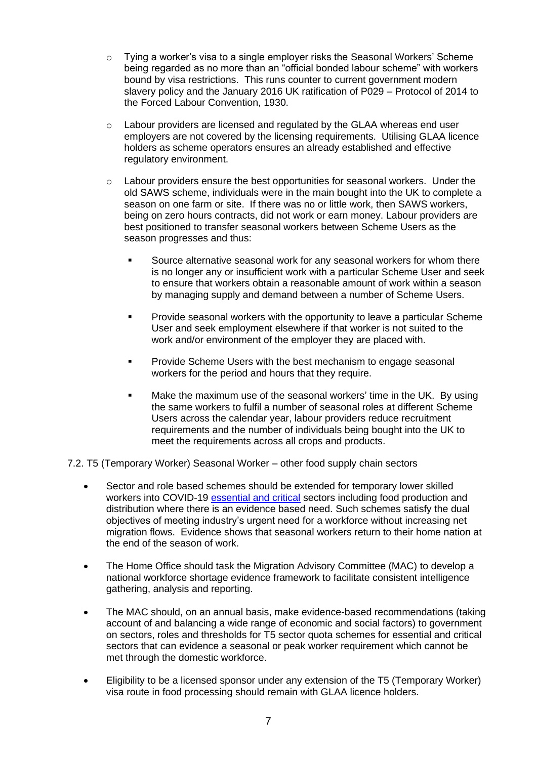- $\circ$  Tying a worker's visa to a single employer risks the Seasonal Workers' Scheme being regarded as no more than an "official bonded labour scheme" with workers bound by visa restrictions. This runs counter to current government modern slavery policy and the January 2016 UK ratification of P029 – Protocol of 2014 to the Forced Labour Convention, 1930.
- o Labour providers are licensed and regulated by the GLAA whereas end user employers are not covered by the licensing requirements. Utilising GLAA licence holders as scheme operators ensures an already established and effective regulatory environment.
- o Labour providers ensure the best opportunities for seasonal workers. Under the old SAWS scheme, individuals were in the main bought into the UK to complete a season on one farm or site. If there was no or little work, then SAWS workers, being on zero hours contracts, did not work or earn money. Labour providers are best positioned to transfer seasonal workers between Scheme Users as the season progresses and thus:
	- Source alternative seasonal work for any seasonal workers for whom there is no longer any or insufficient work with a particular Scheme User and seek to ensure that workers obtain a reasonable amount of work within a season by managing supply and demand between a number of Scheme Users.
	- Provide seasonal workers with the opportunity to leave a particular Scheme User and seek employment elsewhere if that worker is not suited to the work and/or environment of the employer they are placed with.
	- Provide Scheme Users with the best mechanism to engage seasonal workers for the period and hours that they require.
	- Make the maximum use of the seasonal workers' time in the UK. By using the same workers to fulfil a number of seasonal roles at different Scheme Users across the calendar year, labour providers reduce recruitment requirements and the number of individuals being bought into the UK to meet the requirements across all crops and products.

7.2. T5 (Temporary Worker) Seasonal Worker – other food supply chain sectors

- Sector and role based schemes should be extended for temporary lower skilled workers into COVID-19 [essential and critical](https://www.gov.uk/government/publications/coronavirus-covid-19-maintaining-educational-provision/guidance-for-schools-colleges-and-local-authorities-on-maintaining-educational-provision) sectors including food production and distribution where there is an evidence based need. Such schemes satisfy the dual objectives of meeting industry's urgent need for a workforce without increasing net migration flows. Evidence shows that seasonal workers return to their home nation at the end of the season of work.
- The Home Office should task the Migration Advisory Committee (MAC) to develop a national workforce shortage evidence framework to facilitate consistent intelligence gathering, analysis and reporting.
- The MAC should, on an annual basis, make evidence-based recommendations (taking account of and balancing a wide range of economic and social factors) to government on sectors, roles and thresholds for T5 sector quota schemes for essential and critical sectors that can evidence a seasonal or peak worker requirement which cannot be met through the domestic workforce.
- Eligibility to be a licensed sponsor under any extension of the T5 (Temporary Worker) visa route in food processing should remain with GLAA licence holders.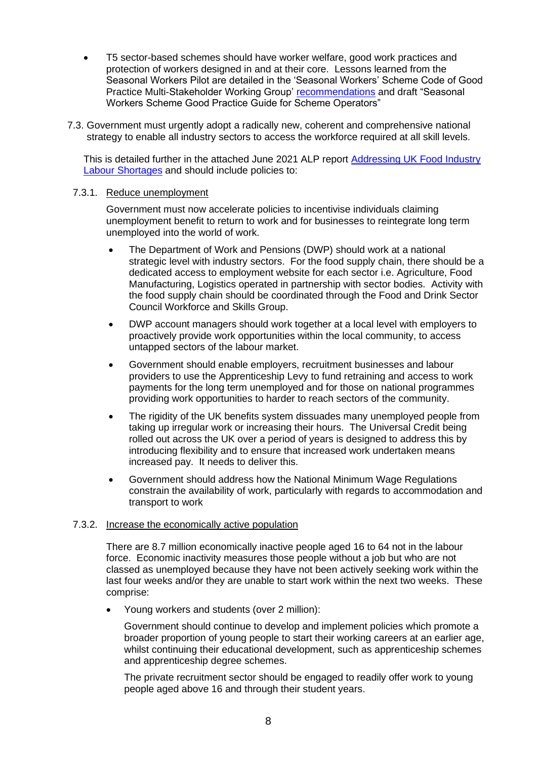- T5 sector-based schemes should have worker welfare, good work practices and protection of workers designed in and at their core. Lessons learned from the Seasonal Workers Pilot are detailed in the 'Seasonal Workers' Scheme Code of Good Practice Multi-Stakeholder Working Group' [recommendations](https://labourproviders.org.uk/wp-content/uploads/2020/07/Seasonal-Workers-Scheme-MSWG-Recommendations-June-2020.pdf) and draft "Seasonal Workers Scheme Good Practice Guide for Scheme Operators"
- 7.3. Government must urgently adopt a radically new, coherent and comprehensive national strategy to enable all industry sectors to access the workforce required at all skill levels.

This is detailed further in the attached June 2021 ALP report [Addressing UK Food Industry](https://labourproviders.org.uk/access-to-labour-2/)  [Labour Shortages](https://labourproviders.org.uk/access-to-labour-2/) and should include policies to:

#### 7.3.1. Reduce unemployment

Government must now accelerate policies to incentivise individuals claiming unemployment benefit to return to work and for businesses to reintegrate long term unemployed into the world of work.

- The Department of Work and Pensions (DWP) should work at a national strategic level with industry sectors. For the food supply chain, there should be a dedicated access to employment website for each sector i.e. Agriculture, Food Manufacturing, Logistics operated in partnership with sector bodies. Activity with the food supply chain should be coordinated through the Food and Drink Sector Council Workforce and Skills Group.
- DWP account managers should work together at a local level with employers to proactively provide work opportunities within the local community, to access untapped sectors of the labour market.
- Government should enable employers, recruitment businesses and labour providers to use the Apprenticeship Levy to fund retraining and access to work payments for the long term unemployed and for those on national programmes providing work opportunities to harder to reach sectors of the community.
- The rigidity of the UK benefits system dissuades many unemployed people from taking up irregular work or increasing their hours. The Universal Credit being rolled out across the UK over a period of years is designed to address this by introducing flexibility and to ensure that increased work undertaken means increased pay. It needs to deliver this.
- Government should address how the National Minimum Wage Regulations constrain the availability of work, particularly with regards to accommodation and transport to work

### 7.3.2. Increase the economically active population

There are 8.7 million economically inactive people aged 16 to 64 not in the labour force. Economic inactivity measures those people without a job but who are not classed as unemployed because they have not been actively seeking work within the last four weeks and/or they are unable to start work within the next two weeks. These comprise:

• Young workers and students (over 2 million):

Government should continue to develop and implement policies which promote a broader proportion of young people to start their working careers at an earlier age, whilst continuing their educational development, such as apprenticeship schemes and apprenticeship degree schemes.

The private recruitment sector should be engaged to readily offer work to young people aged above 16 and through their student years.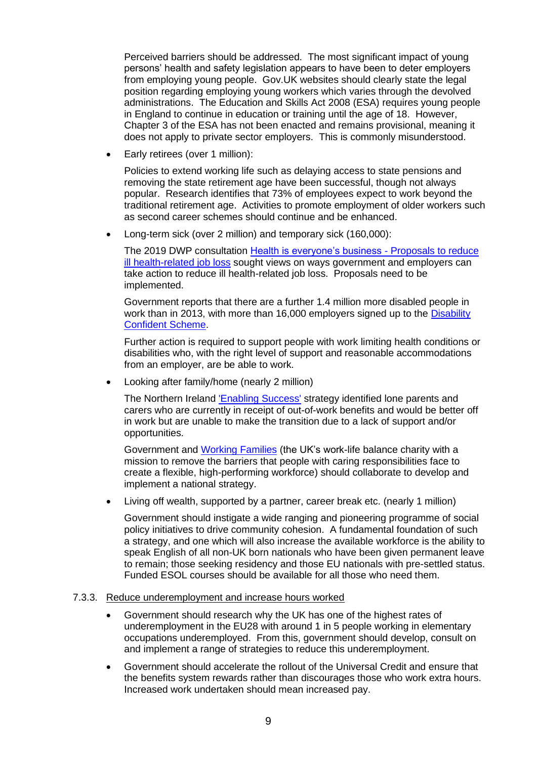Perceived barriers should be addressed. The most significant impact of young persons' health and safety legislation appears to have been to deter employers from employing young people. Gov.UK websites should clearly state the legal position regarding employing young workers which varies through the devolved administrations. The [Education and Skills Act 2008 \(ESA\)](https://www.legislation.gov.uk/ukpga/2008/25/contents) requires young people in England to continue in education or training until the age of 18. However, Chapter 3 of the ESA has not been enacted and remains provisional, meaning it does not apply to private sector employers. This is commonly misunderstood.

• Early retirees (over 1 million):

Policies to extend working life such as delaying access to state pensions and removing the state retirement age have been successful, though not always popular. Research identifies that 73% of employees expect to work beyond the traditional retirement age. Activities to promote employment of older workers such as second career schemes should continue and be enhanced.

• Long-term sick (over 2 million) and temporary sick (160,000):

The 2019 DWP consultation [Health is everyone's business -](https://www.gov.uk/government/consultations/health-is-everyones-business-proposals-to-reduce-ill-health-related-job-loss) Proposals to reduce [ill health-related job loss](https://www.gov.uk/government/consultations/health-is-everyones-business-proposals-to-reduce-ill-health-related-job-loss) sought views on ways government and employers can take action to reduce ill health-related job loss. Proposals need to be implemented.

Government reports that there are a further 1.4 million more disabled people in work than in 2013, with more than 16,000 employers signed up to the [Disability](https://disabilityconfident.campaign.gov.uk/) [Confident Scheme.](https://disabilityconfident.campaign.gov.uk/)

Further action is required to support people with work limiting health conditions or disabilities who, with the right level of support and reasonable accommodations from an employer, are be able to work.

• Looking after family/home (nearly 2 million)

The Northern Ireland **Enabling Success'** strategy identified lone parents and carers who are currently in receipt of out-of-work benefits and would be better off in work but are unable to make the transition due to a lack of support and/or opportunities.

Government and [Working Families](https://workingfamilies.org.uk/) (the UK's work-life balance charity with a mission to remove the barriers that people with caring responsibilities face to create a flexible, high-performing workforce) should collaborate to develop and implement a national strategy.

• Living off wealth, supported by a partner, career break etc. (nearly 1 million)

Government should instigate a wide ranging and pioneering programme of social policy initiatives to drive community cohesion. A fundamental foundation of such a strategy, and one which will also increase the available workforce is the ability to speak English of all non-UK born nationals who have been given permanent leave to remain; those seeking residency and those EU nationals with pre-settled status. Funded ESOL courses should be available for all those who need them.

### 7.3.3. Reduce underemployment and increase hours worked

- Government should research why the UK has one of the highest rates of underemployment in the EU28 with around 1 in 5 people working in elementary occupations underemployed. From this, government should develop, consult on and implement a range of strategies to reduce this underemployment.
- Government should accelerate the rollout of the Universal Credit and ensure that the benefits system rewards rather than discourages those who work extra hours. Increased work undertaken should mean increased pay.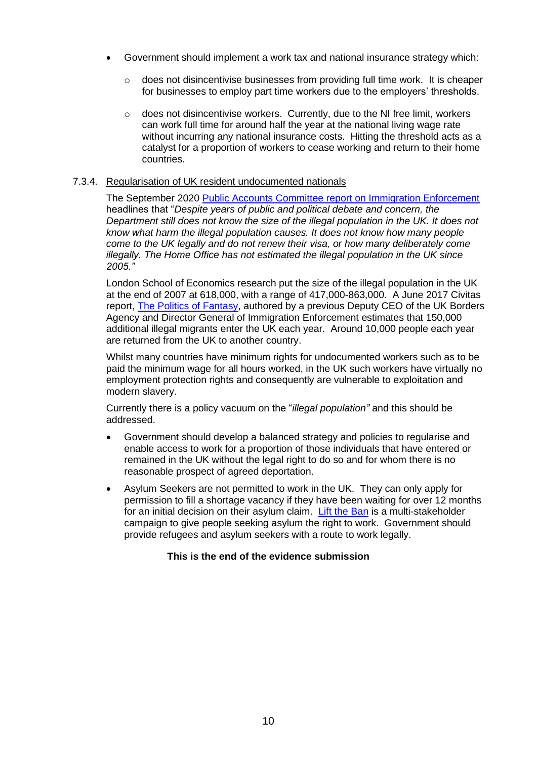- Government should implement a work tax and national insurance strategy which:
	- $\circ$  does not disincentivise businesses from providing full time work. It is cheaper for businesses to employ part time workers due to the employers' thresholds.
	- $\circ$  does not disincentivise workers. Currently, due to the NI free limit, workers can work full time for around half the year at the national living wage rate without incurring any national insurance costs. Hitting the threshold acts as a catalyst for a proportion of workers to cease working and return to their home countries.

#### 7.3.4. Regularisation of UK resident undocumented nationals

The September 2020 [Public Accounts Committee report on Immigration Enforcement](https://committees.parliament.uk/committee/127/public-accounts-committee/news/119248/home-office-has-no-idea-of-the-impact-of-immigration-policies/) headlines that "*Despite years of public and political debate and concern, the Department still does not know the size of the illegal population in the UK. It does not know what harm the illegal population causes. It does not know how many people come to the UK legally and do not renew their visa, or how many deliberately come illegally. The Home Office has not estimated the illegal population in the UK since 2005."*

London School of Economics research put the size of the illegal population in the UK at the end of 2007 at 618,000, with a range of 417,000-863,000. A June 2017 Civitas report, [The Politics of Fantasy,](http://www.civitas.org.uk/content/files/thepoliticsoffantasy.pdf) authored by a previous Deputy CEO of the UK Borders Agency and Director General of Immigration Enforcement estimates that 150,000 additional illegal migrants enter the UK each year. Around 10,000 people each year are returned from the UK to another country.

Whilst many countries have minimum rights for undocumented workers such as to be paid the minimum wage for all hours worked, in the UK such workers have virtually no employment protection rights and consequently are vulnerable to exploitation and modern slavery.

Currently there is a policy vacuum on the "*illegal population"* and this should be addressed.

- Government should develop a balanced strategy and policies to regularise and enable access to work for a proportion of those individuals that have entered or remained in the UK without the legal right to do so and for whom there is no reasonable prospect of agreed deportation.
- Asylum Seekers are not permitted to work in the UK. They can only apply for permission to fill a shortage vacancy if they have been waiting for over 12 months for an initial decision on their asylum claim. [Lift the Ban](https://www.refugee-action.org.uk/lift-the-ban/) is a multi-stakeholder campaign to give people seeking asylum the right to work. Government should provide refugees and asylum seekers with a route to work legally.

### **This is the end of the evidence submission**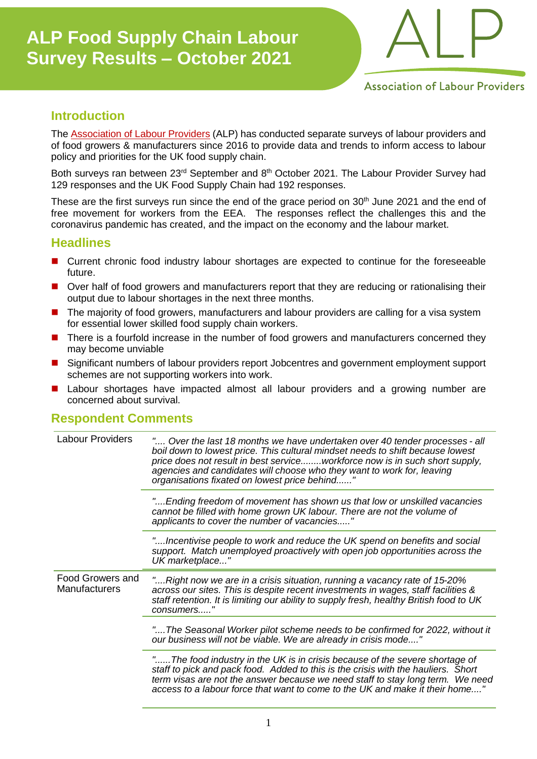

**Association of Labour Providers** 

### **Introduction**

The [Association of Labour Providers](http://www.labourproviders.org.uk/) (ALP) has conducted separate surveys of labour providers and of food growers & manufacturers since 2016 to provide data and trends to inform access to labour policy and priorities for the UK food supply chain.

Both surveys ran between 23<sup>rd</sup> September and 8<sup>th</sup> October 2021. The Labour Provider Survey had 129 responses and the UK Food Supply Chain had 192 responses.

These are the first surveys run since the end of the grace period on 30<sup>th</sup> June 2021 and the end of free movement for workers from the EEA. The responses reflect the challenges this and the coronavirus pandemic has created, and the impact on the economy and the labour market.

### **Headlines**

- Current chronic food industry labour shortages are expected to continue for the foreseeable future.
- Over half of food growers and manufacturers report that they are reducing or rationalising their output due to labour shortages in the next three months.
- The majority of food growers, manufacturers and labour providers are calling for a visa system for essential lower skilled food supply chain workers.
- There is a fourfold increase in the number of food growers and manufacturers concerned they may become unviable
- Significant numbers of labour providers report Jobcentres and government employment support schemes are not supporting workers into work.
- Labour shortages have impacted almost all labour providers and a growing number are concerned about survival.

### **Respondent Comments**

| <b>Labour Providers</b>                  | " Over the last 18 months we have undertaken over 40 tender processes - all<br>boil down to lowest price. This cultural mindset needs to shift because lowest<br>price does not result in best serviceworkforce now is in such short supply,<br>agencies and candidates will choose who they want to work for, leaving<br>organisations fixated on lowest price behind" |
|------------------------------------------|-------------------------------------------------------------------------------------------------------------------------------------------------------------------------------------------------------------------------------------------------------------------------------------------------------------------------------------------------------------------------|
|                                          | "Ending freedom of movement has shown us that low or unskilled vacancies<br>cannot be filled with home grown UK labour. There are not the volume of<br>applicants to cover the number of vacancies"                                                                                                                                                                     |
|                                          | "Incentivise people to work and reduce the UK spend on benefits and social<br>support. Match unemployed proactively with open job opportunities across the<br>UK marketplace"                                                                                                                                                                                           |
| Food Growers and<br><b>Manufacturers</b> | "Right now we are in a crisis situation, running a vacancy rate of 15-20%<br>across our sites. This is despite recent investments in wages, staff facilities &<br>staff retention. It is limiting our ability to supply fresh, healthy British food to UK<br>consumers"                                                                                                 |
|                                          | "The Seasonal Worker pilot scheme needs to be confirmed for 2022, without it<br>our business will not be viable. We are already in crisis mode"                                                                                                                                                                                                                         |
|                                          | "The food industry in the UK is in crisis because of the severe shortage of<br>staff to pick and pack food. Added to this is the crisis with the hauliers. Short<br>term visas are not the answer because we need staff to stay long term. We need<br>access to a labour force that want to come to the UK and make it their home"                                      |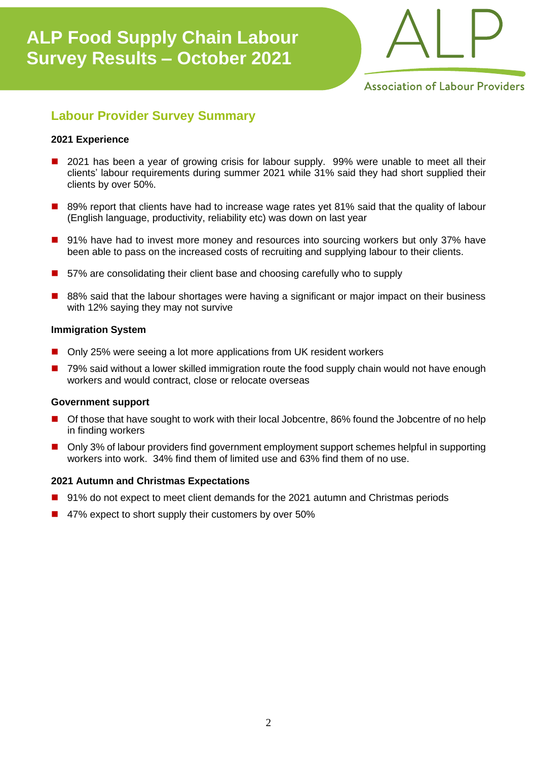

**Association of Labour Providers** 

### **Labour Provider Survey Summary**

#### **2021 Experience**

- 2021 has been a year of growing crisis for labour supply. 99% were unable to meet all their clients' labour requirements during summer 2021 while 31% said they had short supplied their clients by over 50%.
- 89% report that clients have had to increase wage rates yet 81% said that the quality of labour (English language, productivity, reliability etc) was down on last year
- 91% have had to invest more money and resources into sourcing workers but only 37% have been able to pass on the increased costs of recruiting and supplying labour to their clients.
- 57% are consolidating their client base and choosing carefully who to supply
- 88% said that the labour shortages were having a significant or major impact on their business with 12% saying they may not survive

#### **Immigration System**

- Only 25% were seeing a lot more applications from UK resident workers
- 79% said without a lower skilled immigration route the food supply chain would not have enough workers and would contract, close or relocate overseas

#### **Government support**

- Of those that have sought to work with their local Jobcentre, 86% found the Jobcentre of no help in finding workers
- Only 3% of labour providers find government employment support schemes helpful in supporting workers into work. 34% find them of limited use and 63% find them of no use.

### **2021 Autumn and Christmas Expectations**

- 91% do not expect to meet client demands for the 2021 autumn and Christmas periods
- 47% expect to short supply their customers by over 50%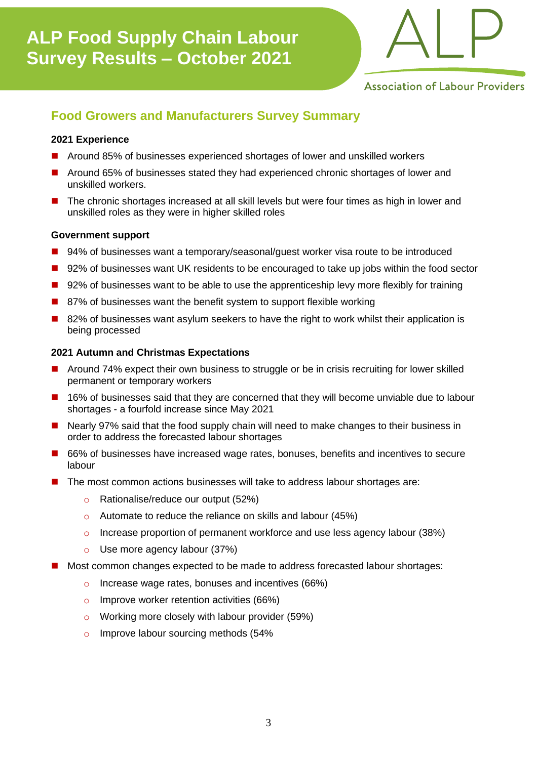

**Association of Labour Providers** 

### **Food Growers and Manufacturers Survey Summary**

#### **2021 Experience**

- ◼ Around 85% of businesses experienced shortages of lower and unskilled workers
- ◼ Around 65% of businesses stated they had experienced chronic shortages of lower and unskilled workers.
- The chronic shortages increased at all skill levels but were four times as high in lower and unskilled roles as they were in higher skilled roles

#### **Government support**

- 94% of businesses want a temporary/seasonal/guest worker visa route to be introduced
- 92% of businesses want UK residents to be encouraged to take up jobs within the food sector
- 92% of businesses want to be able to use the apprenticeship levy more flexibly for training
- 87% of businesses want the benefit system to support flexible working
- 82% of businesses want asylum seekers to have the right to work whilst their application is being processed

#### **2021 Autumn and Christmas Expectations**

- Around 74% expect their own business to struggle or be in crisis recruiting for lower skilled permanent or temporary workers
- 16% of businesses said that they are concerned that they will become unviable due to labour shortages - a fourfold increase since May 2021
- Nearly 97% said that the food supply chain will need to make changes to their business in order to address the forecasted labour shortages
- 66% of businesses have increased wage rates, bonuses, benefits and incentives to secure labour
- The most common actions businesses will take to address labour shortages are:
	- o Rationalise/reduce our output (52%)
	- o Automate to reduce the reliance on skills and labour (45%)
	- o Increase proportion of permanent workforce and use less agency labour (38%)
	- o Use more agency labour (37%)
- Most common changes expected to be made to address forecasted labour shortages:
	- o Increase wage rates, bonuses and incentives (66%)
	- o Improve worker retention activities  $(66%)$
	- o Working more closely with labour provider (59%)
	- o Improve labour sourcing methods (54%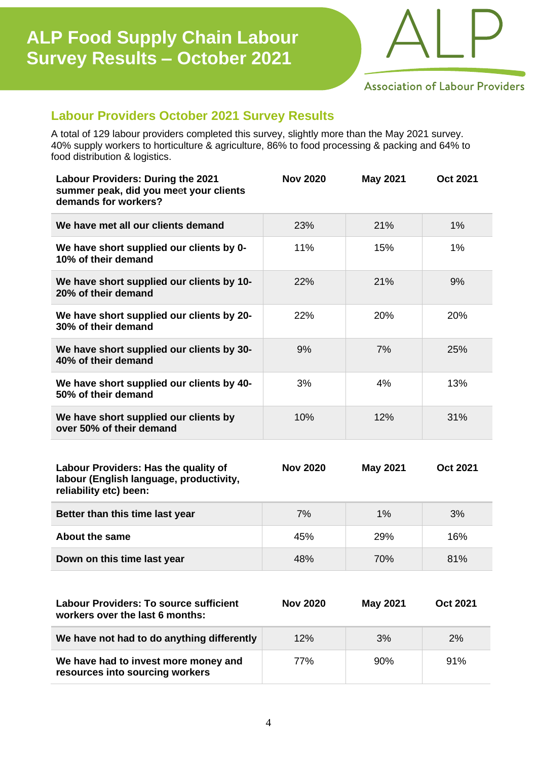

**Association of Labour Providers** 

### **Labour Providers October 2021 Survey Results**

A total of 129 labour providers completed this survey, slightly more than the May 2021 survey. 40% supply workers to horticulture & agriculture, 86% to food processing & packing and 64% to food distribution & logistics.

| Labour Providers: During the 2021<br>summer peak, did you meet your clients<br>demands for workers?       | <b>Nov 2020</b> | May 2021        | <b>Oct 2021</b> |
|-----------------------------------------------------------------------------------------------------------|-----------------|-----------------|-----------------|
| We have met all our clients demand                                                                        | 23%             | 21%             | 1%              |
| We have short supplied our clients by 0-<br>10% of their demand                                           | 11%             | 15%             | 1%              |
| We have short supplied our clients by 10-<br>20% of their demand                                          | 22%             | 21%             | 9%              |
| We have short supplied our clients by 20-<br>30% of their demand                                          | 22%             | 20%             | 20%             |
| We have short supplied our clients by 30-<br>40% of their demand                                          | 9%              | 7%              | 25%             |
| We have short supplied our clients by 40-<br>50% of their demand                                          | 3%              | 4%              | 13%             |
| We have short supplied our clients by<br>over 50% of their demand                                         | 10%             | 12%             | 31%             |
| Labour Providers: Has the quality of<br>labour (English language, productivity,<br>reliability etc) been: | <b>Nov 2020</b> | <b>May 2021</b> | <b>Oct 2021</b> |
| Better than this time last year                                                                           | 7%              | 1%              | 3%              |
| <b>About the same</b>                                                                                     | 45%             | 29%             | 16%             |
| Down on this time last year                                                                               | 48%             | 70%             | 81%             |
|                                                                                                           |                 |                 |                 |
| <b>Labour Providers: To source sufficient</b><br>workers over the last 6 months:                          | <b>Nov 2020</b> | <b>May 2021</b> | <b>Oct 2021</b> |
| We have not had to do anything differently                                                                | 12%             | 3%              | 2%              |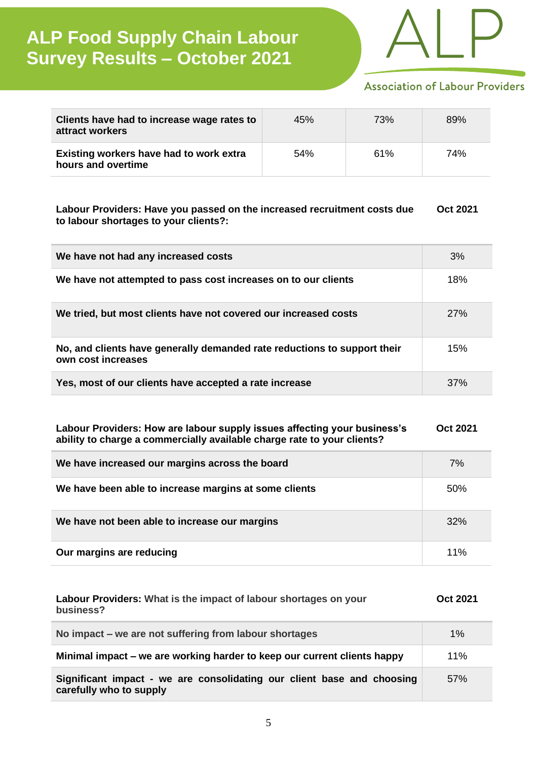

### **Association of Labour Providers**

| Clients have had to increase wage rates to<br>attract workers | 45% | 73% | 89% |
|---------------------------------------------------------------|-----|-----|-----|
| Existing workers have had to work extra<br>hours and overtime | 54% | 61% | 74% |

#### **Labour Providers: Have you passed on the increased recruitment costs due to labour shortages to your clients?: Oct 2021**

| We have not had any increased costs                                                            | 3%  |
|------------------------------------------------------------------------------------------------|-----|
| We have not attempted to pass cost increases on to our clients                                 | 18% |
| We tried, but most clients have not covered our increased costs                                | 27% |
| No, and clients have generally demanded rate reductions to support their<br>own cost increases | 15% |
| Yes, most of our clients have accepted a rate increase                                         | 37% |

#### **Labour Providers: How are labour supply issues affecting your business's ability to charge a commercially available charge rate to your clients? Oct 2021**

| We have increased our margins across the board        | 7%     |
|-------------------------------------------------------|--------|
| We have been able to increase margins at some clients | 50%    |
| We have not been able to increase our margins         | 32%    |
| Our margins are reducing                              | $11\%$ |

| Labour Providers: What is the impact of labour shortages on your<br>business?                     | Oct 2021 |
|---------------------------------------------------------------------------------------------------|----------|
| No impact – we are not suffering from labour shortages                                            | 1%       |
| Minimal impact – we are working harder to keep our current clients happy                          | 11%      |
| Significant impact - we are consolidating our client base and choosing<br>carefully who to supply | 57%      |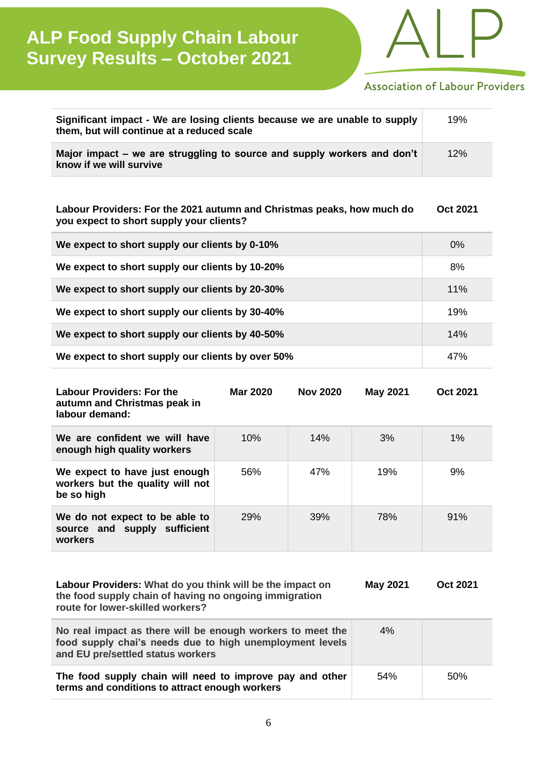

### **Association of Labour Providers**

| Significant impact - We are losing clients because we are unable to supply<br>them, but will continue at a reduced scale | 19% |
|--------------------------------------------------------------------------------------------------------------------------|-----|
| Major impact – we are struggling to source and supply workers and don't<br>know if we will survive                       | 12% |

**Labour Providers: For the 2021 autumn and Christmas peaks, how much do you expect to short supply your clients? Oct 2021**

| We expect to short supply our clients by 0-10%    | $0\%$ |
|---------------------------------------------------|-------|
| We expect to short supply our clients by 10-20%   | 8%    |
| We expect to short supply our clients by 20-30%   | 11%   |
| We expect to short supply our clients by 30-40%   | 19%   |
| We expect to short supply our clients by 40-50%   | 14%   |
| We expect to short supply our clients by over 50% | 47%   |

| <b>Labour Providers: For the</b><br>autumn and Christmas peak in<br>labour demand: | Mar 2020   | <b>Nov 2020</b> | <b>May 2021</b> | Oct 2021 |
|------------------------------------------------------------------------------------|------------|-----------------|-----------------|----------|
| We are confident we will have<br>enough high quality workers                       | $10\%$     | 14%             | 3%              | $1\%$    |
| We expect to have just enough<br>workers but the quality will not<br>be so high    | 56%        | 47%             | 19%             | 9%       |
| We do not expect to be able to<br>source and supply sufficient<br>workers          | <b>29%</b> | 39%             | 78%             | 91%      |

| Labour Providers: What do you think will be the impact on<br>the food supply chain of having no ongoing immigration<br>route for lower-skilled workers?     | <b>May 2021</b> | Oct 2021 |
|-------------------------------------------------------------------------------------------------------------------------------------------------------------|-----------------|----------|
| No real impact as there will be enough workers to meet the<br>food supply chai's needs due to high unemployment levels<br>and EU pre/settled status workers | 4%              |          |
| The food supply chain will need to improve pay and other                                                                                                    | 54%             | 50%      |

**terms and conditions to attract enough workers**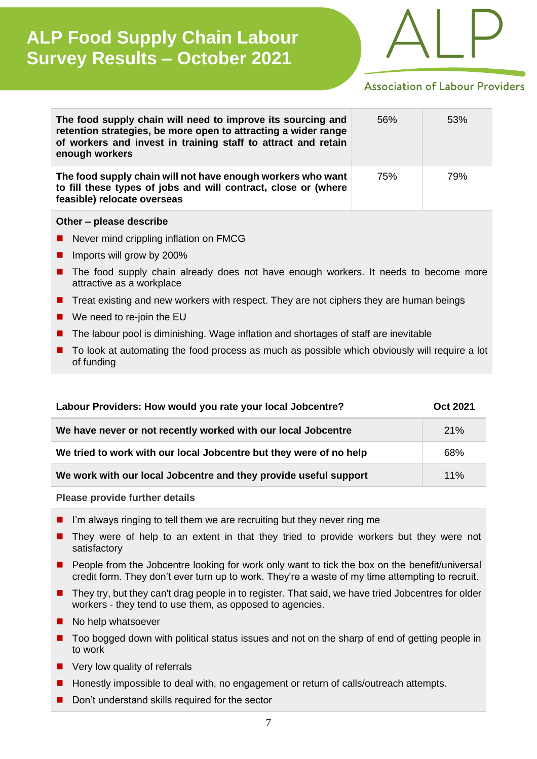

### **Association of Labour Providers**

| The food supply chain will need to improve its sourcing and<br>retention strategies, be more open to attracting a wider range<br>of workers and invest in training staff to attract and retain<br>enough workers | 56% | 53% |
|------------------------------------------------------------------------------------------------------------------------------------------------------------------------------------------------------------------|-----|-----|
| The food supply chain will not have enough workers who want<br>to fill these types of jobs and will contract, close or (where<br>feasible) relocate overseas                                                     | 75% | 79% |

#### **Other – please describe**

- Never mind crippling inflation on FMCG
- Imports will grow by 200%
- The food supply chain already does not have enough workers. It needs to become more attractive as a workplace
- Treat existing and new workers with respect. They are not ciphers they are human beings
- We need to re-join the EU
- The labour pool is diminishing. Wage inflation and shortages of staff are inevitable
- To look at automating the food process as much as possible which obviously will require a lot of funding

| Labour Providers: How would you rate your local Jobcentre?         |     |
|--------------------------------------------------------------------|-----|
| We have never or not recently worked with our local Jobcentre      | 21% |
| We tried to work with our local Jobcentre but they were of no help | 68% |
| We work with our local Jobcentre and they provide useful support   | 11% |

#### **Please provide further details**

- $\blacksquare$  I'm always ringing to tell them we are recruiting but they never ring me
- They were of help to an extent in that they tried to provide workers but they were not satisfactory
- People from the Jobcentre looking for work only want to tick the box on the benefit/universal credit form. They don't ever turn up to work. They're a waste of my time attempting to recruit.
- They try, but they can't drag people in to register. That said, we have tried Jobcentres for older workers - they tend to use them, as opposed to agencies.
- No help whatsoever
- Too bogged down with political status issues and not on the sharp of end of getting people in to work
- Very low quality of referrals
- Honestly impossible to deal with, no engagement or return of calls/outreach attempts.
- Don't understand skills required for the sector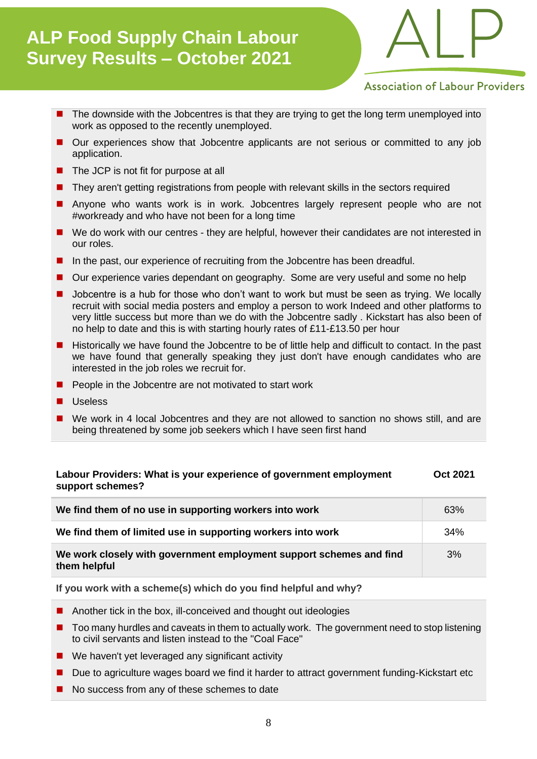

**Association of Labour Providers** 

- The downside with the Jobcentres is that they are trying to get the long term unemployed into work as opposed to the recently unemployed.
- Our experiences show that Jobcentre applicants are not serious or committed to any job application.
- The JCP is not fit for purpose at all
- They aren't getting registrations from people with relevant skills in the sectors required
- Anyone who wants work is in work. Jobcentres largely represent people who are not #workready and who have not been for a long time
- We do work with our centres they are helpful, however their candidates are not interested in our roles.
- In the past, our experience of recruiting from the Jobcentre has been dreadful.
- Our experience varies dependant on geography. Some are very useful and some no help
- Jobcentre is a hub for those who don't want to work but must be seen as trying. We locally recruit with social media posters and employ a person to work Indeed and other platforms to very little success but more than we do with the Jobcentre sadly . Kickstart has also been of no help to date and this is with starting hourly rates of £11-£13.50 per hour
- Historically we have found the Jobcentre to be of little help and difficult to contact. In the past we have found that generally speaking they just don't have enough candidates who are interested in the job roles we recruit for.
- People in the Jobcentre are not motivated to start work
- Useless
- We work in 4 local Jobcentres and they are not allowed to sanction no shows still, and are being threatened by some job seekers which I have seen first hand

#### **Labour Providers: What is your experience of government employment support schemes? Oct 2021**

| We find them of no use in supporting workers into work                              | 63% |
|-------------------------------------------------------------------------------------|-----|
| We find them of limited use in supporting workers into work                         | 34% |
| We work closely with government employment support schemes and find<br>them helpful | 3%  |

**If you work with a scheme(s) which do you find helpful and why?**

- Another tick in the box, ill-conceived and thought out ideologies
- Too many hurdles and caveats in them to actually work. The government need to stop listening to civil servants and listen instead to the "Coal Face"
- We haven't yet leveraged any significant activity
- Due to agriculture wages board we find it harder to attract government funding-Kickstart etc
- No success from any of these schemes to date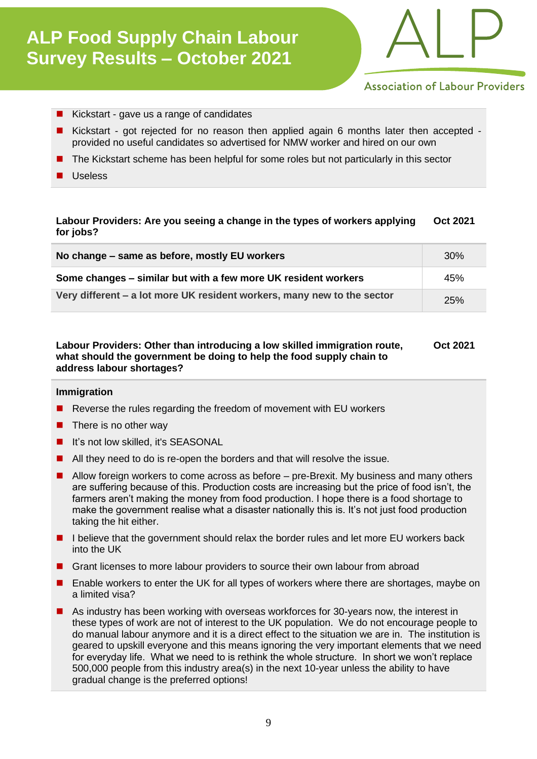

### **Association of Labour Providers**

- Kickstart gave us a range of candidates
- Kickstart got rejected for no reason then applied again 6 months later then accepted provided no useful candidates so advertised for NMW worker and hired on our own
- The Kickstart scheme has been helpful for some roles but not particularly in this sector
- **Useless**

#### **Labour Providers: Are you seeing a change in the types of workers applying for jobs? Oct 2021**

| No change – same as before, mostly EU workers                           | 30% |
|-------------------------------------------------------------------------|-----|
| Some changes – similar but with a few more UK resident workers          | 45% |
| Very different – a lot more UK resident workers, many new to the sector | 25% |

#### **Labour Providers: Other than introducing a low skilled immigration route, what should the government be doing to help the food supply chain to address labour shortages? Oct 2021**

#### **Immigration**

- Reverse the rules regarding the freedom of movement with EU workers
- $\blacksquare$  There is no other way
- It's not low skilled, it's SEASONAL
- All they need to do is re-open the borders and that will resolve the issue.
- Allow foreign workers to come across as before pre-Brexit. My business and many others are suffering because of this. Production costs are increasing but the price of food isn't, the farmers aren't making the money from food production. I hope there is a food shortage to make the government realise what a disaster nationally this is. It's not just food production taking the hit either.
- I believe that the government should relax the border rules and let more EU workers back into the UK
- Grant licenses to more labour providers to source their own labour from abroad
- Enable workers to enter the UK for all types of workers where there are shortages, maybe on a limited visa?
- As industry has been working with overseas workforces for 30-years now, the interest in these types of work are not of interest to the UK population. We do not encourage people to do manual labour anymore and it is a direct effect to the situation we are in. The institution is geared to upskill everyone and this means ignoring the very important elements that we need for everyday life. What we need to is rethink the whole structure. In short we won't replace 500,000 people from this industry area(s) in the next 10-year unless the ability to have gradual change is the preferred options!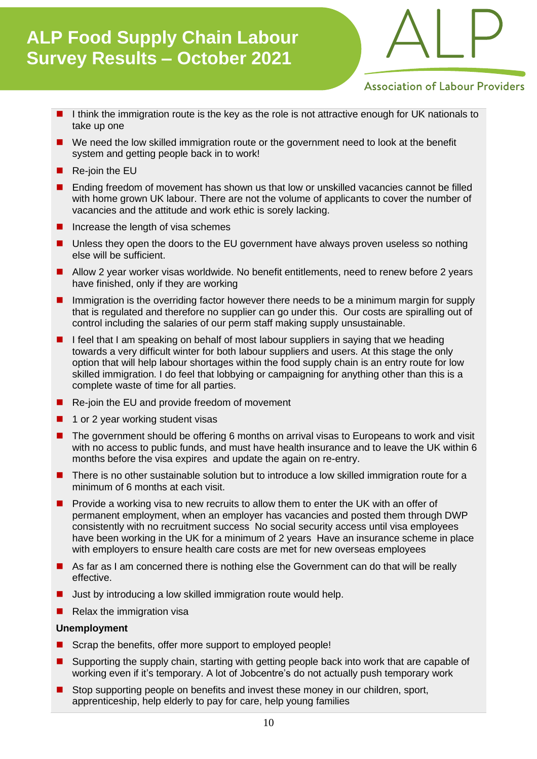

**Association of Labour Providers** 

- I think the immigration route is the key as the role is not attractive enough for UK nationals to take up one
- We need the low skilled immigration route or the government need to look at the benefit system and getting people back in to work!
- Re-join the EU
- Ending freedom of movement has shown us that low or unskilled vacancies cannot be filled with home grown UK labour. There are not the volume of applicants to cover the number of vacancies and the attitude and work ethic is sorely lacking.
- Increase the length of visa schemes
- Unless they open the doors to the EU government have always proven useless so nothing else will be sufficient.
- Allow 2 year worker visas worldwide. No benefit entitlements, need to renew before 2 years have finished, only if they are working
- Immigration is the overriding factor however there needs to be a minimum margin for supply that is regulated and therefore no supplier can go under this. Our costs are spiralling out of control including the salaries of our perm staff making supply unsustainable.
- I feel that I am speaking on behalf of most labour suppliers in saying that we heading towards a very difficult winter for both labour suppliers and users. At this stage the only option that will help labour shortages within the food supply chain is an entry route for low skilled immigration. I do feel that lobbying or campaigning for anything other than this is a complete waste of time for all parties.
- Re-join the EU and provide freedom of movement
- 1 or 2 year working student visas
- The government should be offering 6 months on arrival visas to Europeans to work and visit with no access to public funds, and must have health insurance and to leave the UK within 6 months before the visa expires and update the again on re-entry.
- There is no other sustainable solution but to introduce a low skilled immigration route for a minimum of 6 months at each visit.
- ◼ Provide a working visa to new recruits to allow them to enter the UK with an offer of permanent employment, when an employer has vacancies and posted them through DWP consistently with no recruitment success No social security access until visa employees have been working in the UK for a minimum of 2 years Have an insurance scheme in place with employers to ensure health care costs are met for new overseas employees
- As far as I am concerned there is nothing else the Government can do that will be really effective.
- Just by introducing a low skilled immigration route would help.
- $\blacksquare$  Relax the immigration visa

### **Unemployment**

- Scrap the benefits, offer more support to employed people!
- Supporting the supply chain, starting with getting people back into work that are capable of working even if it's temporary. A lot of Jobcentre's do not actually push temporary work
- Stop supporting people on benefits and invest these money in our children, sport, apprenticeship, help elderly to pay for care, help young families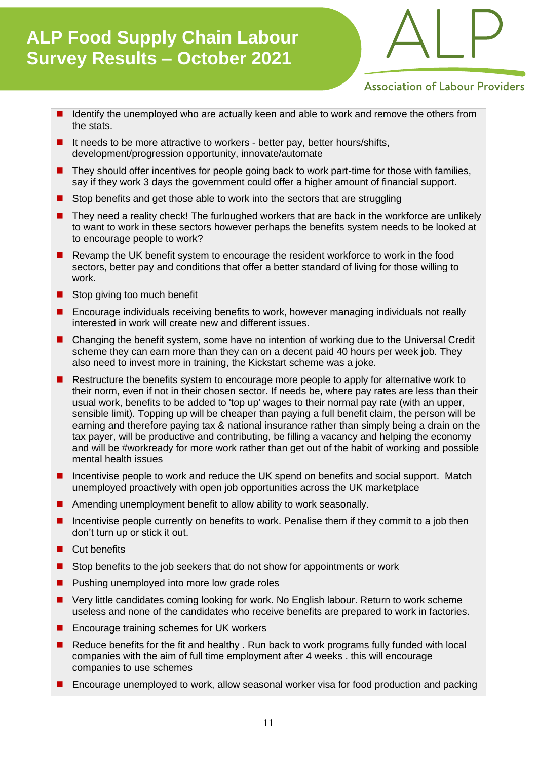

### **Association of Labour Providers**

- Identify the unemployed who are actually keen and able to work and remove the others from the stats.
- It needs to be more attractive to workers better pay, better hours/shifts, development/progression opportunity, innovate/automate
- They should offer incentives for people going back to work part-time for those with families, say if they work 3 days the government could offer a higher amount of financial support.
- Stop benefits and get those able to work into the sectors that are struggling
- They need a reality check! The furloughed workers that are back in the workforce are unlikely to want to work in these sectors however perhaps the benefits system needs to be looked at to encourage people to work?
- Revamp the UK benefit system to encourage the resident workforce to work in the food sectors, better pay and conditions that offer a better standard of living for those willing to work.
- Stop giving too much benefit
- ◼ Encourage individuals receiving benefits to work, however managing individuals not really interested in work will create new and different issues.
- Changing the benefit system, some have no intention of working due to the Universal Credit scheme they can earn more than they can on a decent paid 40 hours per week job. They also need to invest more in training, the Kickstart scheme was a joke.
- Restructure the benefits system to encourage more people to apply for alternative work to their norm, even if not in their chosen sector. If needs be, where pay rates are less than their usual work, benefits to be added to 'top up' wages to their normal pay rate (with an upper, sensible limit). Topping up will be cheaper than paying a full benefit claim, the person will be earning and therefore paying tax & national insurance rather than simply being a drain on the tax payer, will be productive and contributing, be filling a vacancy and helping the economy and will be #workready for more work rather than get out of the habit of working and possible mental health issues
- Incentivise people to work and reduce the UK spend on benefits and social support. Match unemployed proactively with open job opportunities across the UK marketplace
- Amending unemployment benefit to allow ability to work seasonally.
- Incentivise people currently on benefits to work. Penalise them if they commit to a job then don't turn up or stick it out.
- Cut benefits
- Stop benefits to the job seekers that do not show for appointments or work
- Pushing unemployed into more low grade roles
- Very little candidates coming looking for work. No English labour. Return to work scheme useless and none of the candidates who receive benefits are prepared to work in factories.
- Encourage training schemes for UK workers
- Reduce benefits for the fit and healthy . Run back to work programs fully funded with local companies with the aim of full time employment after 4 weeks . this will encourage companies to use schemes
- Encourage unemployed to work, allow seasonal worker visa for food production and packing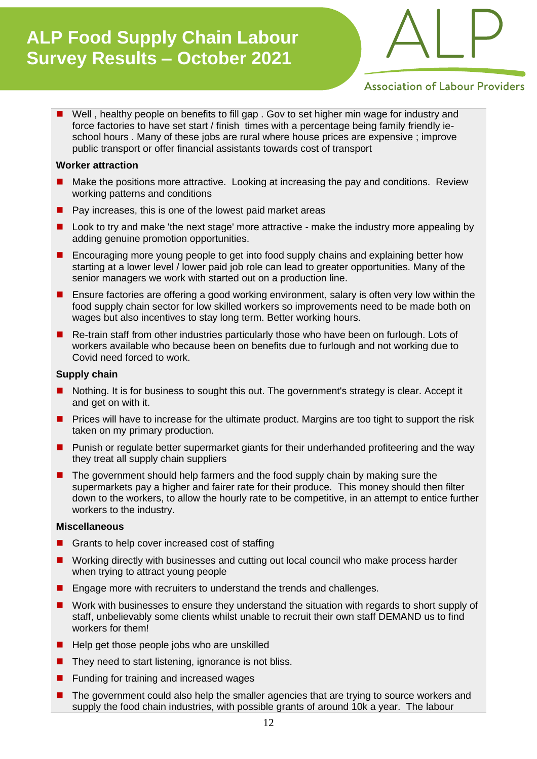

### **Association of Labour Providers**

■ Well, healthy people on benefits to fill gap. Gov to set higher min wage for industry and force factories to have set start / finish times with a percentage being family friendly ieschool hours . Many of these jobs are rural where house prices are expensive ; improve public transport or offer financial assistants towards cost of transport

#### **Worker attraction**

- Make the positions more attractive. Looking at increasing the pay and conditions. Review working patterns and conditions
- Pay increases, this is one of the lowest paid market areas
- Look to try and make 'the next stage' more attractive make the industry more appealing by adding genuine promotion opportunities.
- Encouraging more young people to get into food supply chains and explaining better how starting at a lower level / lower paid job role can lead to greater opportunities. Many of the senior managers we work with started out on a production line.
- Ensure factories are offering a good working environment, salary is often very low within the food supply chain sector for low skilled workers so improvements need to be made both on wages but also incentives to stay long term. Better working hours.
- Re-train staff from other industries particularly those who have been on furlough. Lots of workers available who because been on benefits due to furlough and not working due to Covid need forced to work.

#### **Supply chain**

- Nothing. It is for business to sought this out. The government's strategy is clear. Accept it and get on with it.
- Prices will have to increase for the ultimate product. Margins are too tight to support the risk taken on my primary production.
- Punish or regulate better supermarket giants for their underhanded profiteering and the way they treat all supply chain suppliers
- The government should help farmers and the food supply chain by making sure the supermarkets pay a higher and fairer rate for their produce. This money should then filter down to the workers, to allow the hourly rate to be competitive, in an attempt to entice further workers to the industry.

#### **Miscellaneous**

- Grants to help cover increased cost of staffing
- Working directly with businesses and cutting out local council who make process harder when trying to attract young people
- Engage more with recruiters to understand the trends and challenges.
- Work with businesses to ensure they understand the situation with regards to short supply of staff, unbelievably some clients whilst unable to recruit their own staff DEMAND us to find workers for them!
- Help get those people jobs who are unskilled
- They need to start listening, ignorance is not bliss.
- Funding for training and increased wages
- The government could also help the smaller agencies that are trying to source workers and supply the food chain industries, with possible grants of around 10k a year. The labour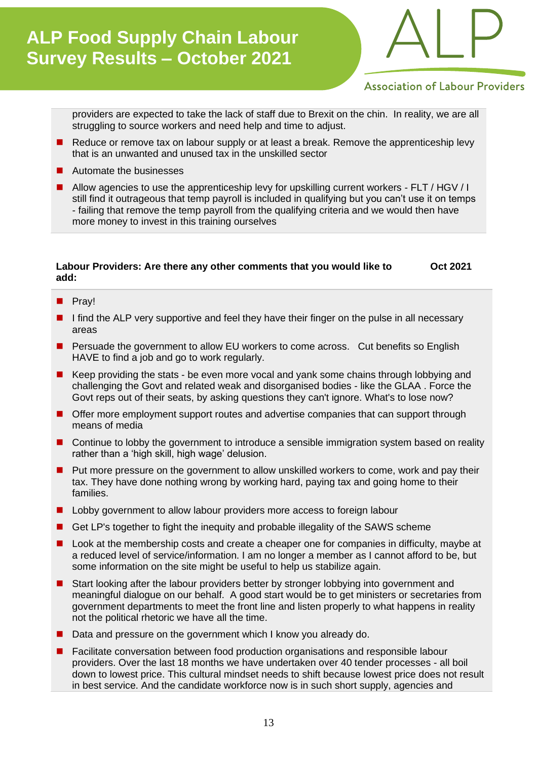

### **Association of Labour Providers**

providers are expected to take the lack of staff due to Brexit on the chin. In reality, we are all struggling to source workers and need help and time to adjust.

- Reduce or remove tax on labour supply or at least a break. Remove the apprenticeship levy that is an unwanted and unused tax in the unskilled sector
- Automate the businesses
- Allow agencies to use the apprenticeship levy for upskilling current workers FLT / HGV / I still find it outrageous that temp payroll is included in qualifying but you can't use it on temps - failing that remove the temp payroll from the qualifying criteria and we would then have more money to invest in this training ourselves

#### **Labour Providers: Are there any other comments that you would like to add: Oct 2021**

- Pray!
- I find the ALP very supportive and feel they have their finger on the pulse in all necessary areas
- Persuade the government to allow EU workers to come across. Cut benefits so English HAVE to find a job and go to work regularly.
- Keep providing the stats be even more vocal and yank some chains through lobbying and challenging the Govt and related weak and disorganised bodies - like the GLAA . Force the Govt reps out of their seats, by asking questions they can't ignore. What's to lose now?
- Offer more employment support routes and advertise companies that can support through means of media
- Continue to lobby the government to introduce a sensible immigration system based on reality rather than a 'high skill, high wage' delusion.
- Put more pressure on the government to allow unskilled workers to come, work and pay their tax. They have done nothing wrong by working hard, paying tax and going home to their families.
- Lobby government to allow labour providers more access to foreign labour
- Get LP's together to fight the inequity and probable illegality of the SAWS scheme
- Look at the membership costs and create a cheaper one for companies in difficulty, maybe at a reduced level of service/information. I am no longer a member as I cannot afford to be, but some information on the site might be useful to help us stabilize again.
- Start looking after the labour providers better by stronger lobbying into government and meaningful dialogue on our behalf. A good start would be to get ministers or secretaries from government departments to meet the front line and listen properly to what happens in reality not the political rhetoric we have all the time.
- Data and pressure on the government which I know you already do.
- Facilitate conversation between food production organisations and responsible labour providers. Over the last 18 months we have undertaken over 40 tender processes - all boil down to lowest price. This cultural mindset needs to shift because lowest price does not result in best service. And the candidate workforce now is in such short supply, agencies and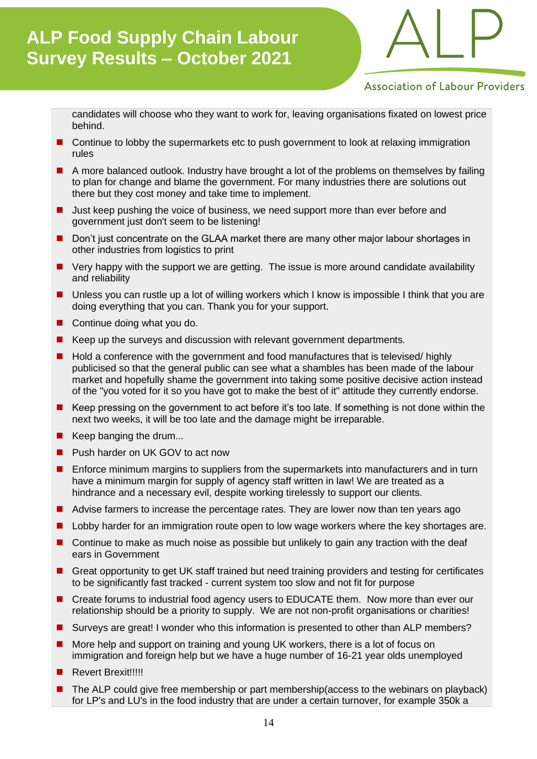

### **Association of Labour Providers**

candidates will choose who they want to work for, leaving organisations fixated on lowest price behind.

- Continue to lobby the supermarkets etc to push government to look at relaxing immigration rules
- A more balanced outlook. Industry have brought a lot of the problems on themselves by failing to plan for change and blame the government. For many industries there are solutions out there but they cost money and take time to implement.
- Just keep pushing the voice of business, we need support more than ever before and government just don't seem to be listening!
- Don't just concentrate on the GLAA market there are many other major labour shortages in other industries from logistics to print
- Very happy with the support we are getting. The issue is more around candidate availability and reliability
- Unless you can rustle up a lot of willing workers which I know is impossible I think that you are doing everything that you can. Thank you for your support.
- Continue doing what you do.
- Keep up the surveys and discussion with relevant government departments.
- Hold a conference with the government and food manufactures that is televised/ highly publicised so that the general public can see what a shambles has been made of the labour market and hopefully shame the government into taking some positive decisive action instead of the "you voted for it so you have got to make the best of it" attitude they currently endorse.
- Keep pressing on the government to act before it's too late. If something is not done within the next two weeks, it will be too late and the damage might be irreparable.
- Keep banging the drum...
- Push harder on UK GOV to act now
- Enforce minimum margins to suppliers from the supermarkets into manufacturers and in turn have a minimum margin for supply of agency staff written in law! We are treated as a hindrance and a necessary evil, despite working tirelessly to support our clients.
- Advise farmers to increase the percentage rates. They are lower now than ten years ago
- Lobby harder for an immigration route open to low wage workers where the key shortages are.
- Continue to make as much noise as possible but unlikely to gain any traction with the deaf ears in Government
- Great opportunity to get UK staff trained but need training providers and testing for certificates to be significantly fast tracked - current system too slow and not fit for purpose
- Create forums to industrial food agency users to EDUCATE them. Now more than ever our relationship should be a priority to supply. We are not non-profit organisations or charities!
- Surveys are great! I wonder who this information is presented to other than ALP members?
- More help and support on training and young UK workers, there is a lot of focus on immigration and foreign help but we have a huge number of 16-21 year olds unemployed
- Revert Brexit!!!!!
- The ALP could give free membership or part membership(access to the webinars on playback) for LP's and LU's in the food industry that are under a certain turnover, for example 350k a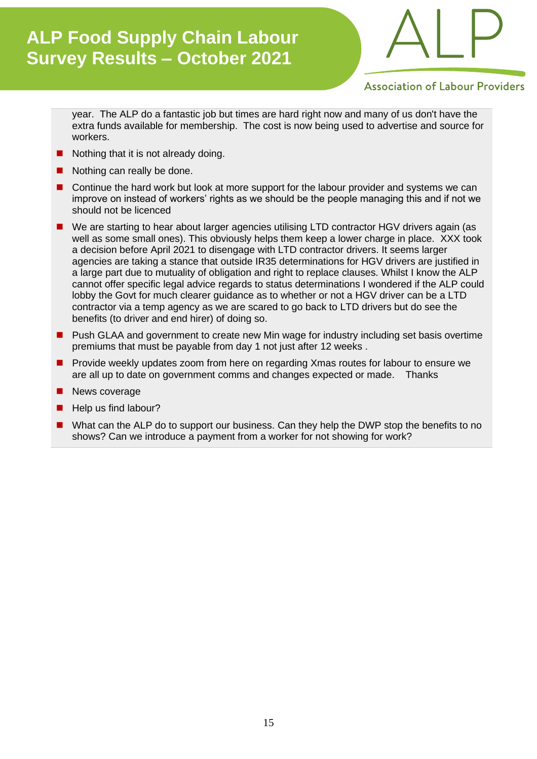

### **Association of Labour Providers**

year. The ALP do a fantastic job but times are hard right now and many of us don't have the extra funds available for membership. The cost is now being used to advertise and source for workers.

- Nothing that it is not already doing.
- Nothing can really be done.
- Continue the hard work but look at more support for the labour provider and systems we can improve on instead of workers' rights as we should be the people managing this and if not we should not be licenced
- We are starting to hear about larger agencies utilising LTD contractor HGV drivers again (as well as some small ones). This obviously helps them keep a lower charge in place. XXX took a decision before April 2021 to disengage with LTD contractor drivers. It seems larger agencies are taking a stance that outside IR35 determinations for HGV drivers are justified in a large part due to mutuality of obligation and right to replace clauses. Whilst I know the ALP cannot offer specific legal advice regards to status determinations I wondered if the ALP could lobby the Govt for much clearer guidance as to whether or not a HGV driver can be a LTD contractor via a temp agency as we are scared to go back to LTD drivers but do see the benefits (to driver and end hirer) of doing so.
- Push GLAA and government to create new Min wage for industry including set basis overtime premiums that must be payable from day 1 not just after 12 weeks .
- Provide weekly updates zoom from here on regarding Xmas routes for labour to ensure we are all up to date on government comms and changes expected or made. Thanks
- News coverage
- Help us find labour?
- What can the ALP do to support our business. Can they help the DWP stop the benefits to no shows? Can we introduce a payment from a worker for not showing for work?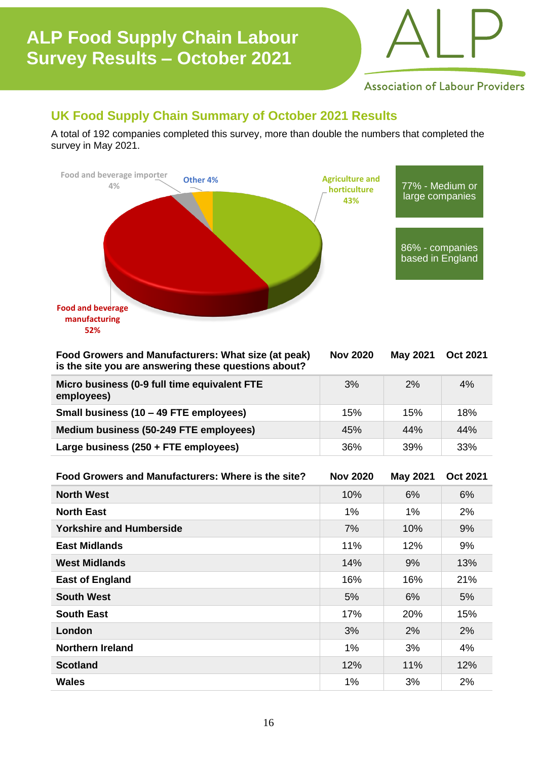

**Association of Labour Providers** 

### **UK Food Supply Chain Summary of October 2021 Results**

A total of 192 companies completed this survey, more than double the numbers that completed the survey in May 2021.



| Food Growers and Manufacturers: What size (at peak)<br>is the site you are answering these questions about? | <b>Nov 2020</b> | <b>May 2021</b> | <b>Oct 2021</b> |
|-------------------------------------------------------------------------------------------------------------|-----------------|-----------------|-----------------|
| Micro business (0-9 full time equivalent FTE<br>employees)                                                  | 3%              | 2%              | 4%              |
| Small business (10 – 49 FTE employees)                                                                      | 15%             | 15%             | 18%             |
| Medium business (50-249 FTE employees)                                                                      | 45%             | 44%             | 44%             |
| Large business (250 + FTE employees)                                                                        | 36%             | 39%             | 33%             |

| Food Growers and Manufacturers: Where is the site? | <b>Nov 2020</b> | <b>May 2021</b> | <b>Oct 2021</b> |
|----------------------------------------------------|-----------------|-----------------|-----------------|
| <b>North West</b>                                  | 10%             | 6%              | 6%              |
| <b>North East</b>                                  | 1%              | $1\%$           | 2%              |
| <b>Yorkshire and Humberside</b>                    | 7%              | 10%             | 9%              |
| <b>East Midlands</b>                               | 11%             | 12%             | 9%              |
| <b>West Midlands</b>                               | 14%             | 9%              | 13%             |
| <b>East of England</b>                             | 16%             | 16%             | 21%             |
| <b>South West</b>                                  | 5%              | 6%              | 5%              |
| <b>South East</b>                                  | 17%             | 20%             | 15%             |
| London                                             | 3%              | 2%              | 2%              |
| <b>Northern Ireland</b>                            | 1%              | 3%              | 4%              |
| <b>Scotland</b>                                    | 12%             | 11%             | 12%             |
| <b>Wales</b>                                       | 1%              | 3%              | 2%              |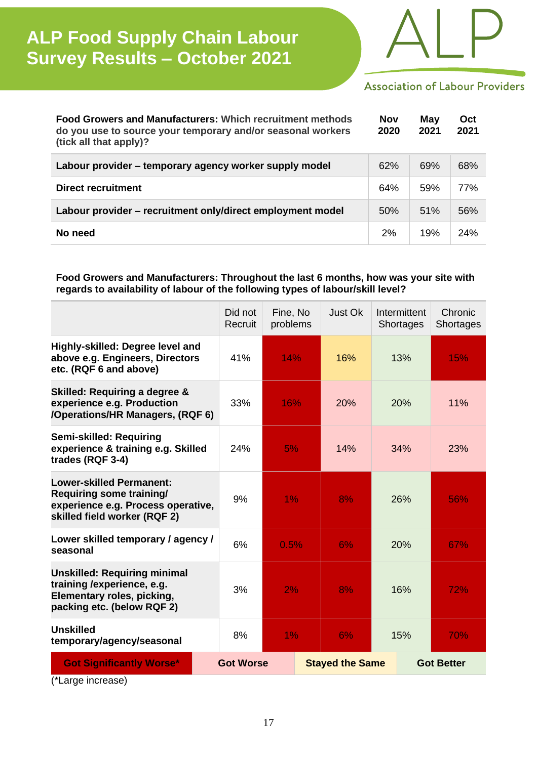

### **Association of Labour Providers**

| <b>Food Growers and Manufacturers: Which recruitment methods</b><br>do you use to source your temporary and/or seasonal workers<br>(tick all that apply)? | <b>Nov</b><br>2020 | May<br>2021 | Oct<br>2021 |
|-----------------------------------------------------------------------------------------------------------------------------------------------------------|--------------------|-------------|-------------|
| Labour provider - temporary agency worker supply model                                                                                                    | 62%                | 69%         | 68%         |
| Direct recruitment                                                                                                                                        | 64%                | 59%         | 77%         |
| Labour provider – recruitment only/direct employment model                                                                                                | 50%                | 51%         | 56%         |
| No need                                                                                                                                                   | 2%                 | 19%         | 24%         |

### **Food Growers and Manufacturers: Throughout the last 6 months, how was your site with regards to availability of labour of the following types of labour/skill level?**

|                                                                                                                                   | Did not<br>Recruit | Fine, No<br>problems | Just Ok                | Intermittent<br>Shortages | Chronic<br>Shortages |
|-----------------------------------------------------------------------------------------------------------------------------------|--------------------|----------------------|------------------------|---------------------------|----------------------|
| Highly-skilled: Degree level and<br>above e.g. Engineers, Directors<br>etc. (RQF 6 and above)                                     | 41%                | 14%                  | 16%                    | 13%                       | 15%                  |
| Skilled: Requiring a degree &<br>experience e.g. Production<br>/Operations/HR Managers, (RQF 6)                                   | 33%                | 16%                  | 20%                    | 20%                       | 11%                  |
| Semi-skilled: Requiring<br>experience & training e.g. Skilled<br>trades (RQF 3-4)                                                 | 24%                | 5%                   | 14%                    | 34%                       | 23%                  |
| <b>Lower-skilled Permanent:</b><br>Requiring some training/<br>experience e.g. Process operative,<br>skilled field worker (RQF 2) | 9%                 | 1%                   | 8%                     | 26%                       | 56%                  |
| Lower skilled temporary / agency /<br>seasonal                                                                                    | 6%                 | 0.5%                 | 6%                     | 20%                       | 67%                  |
| <b>Unskilled: Requiring minimal</b><br>training /experience, e.g.<br>Elementary roles, picking,<br>packing etc. (below RQF 2)     | 3%                 | 2%                   | 8%                     | 16%                       | 72%                  |
| <b>Unskilled</b><br>temporary/agency/seasonal                                                                                     | 8%                 | 1%                   | 6%                     | 15%                       | 70%                  |
| <b>Got Significantly Worse*</b>                                                                                                   | <b>Got Worse</b>   |                      | <b>Stayed the Same</b> |                           | <b>Got Better</b>    |

(\*Large increase)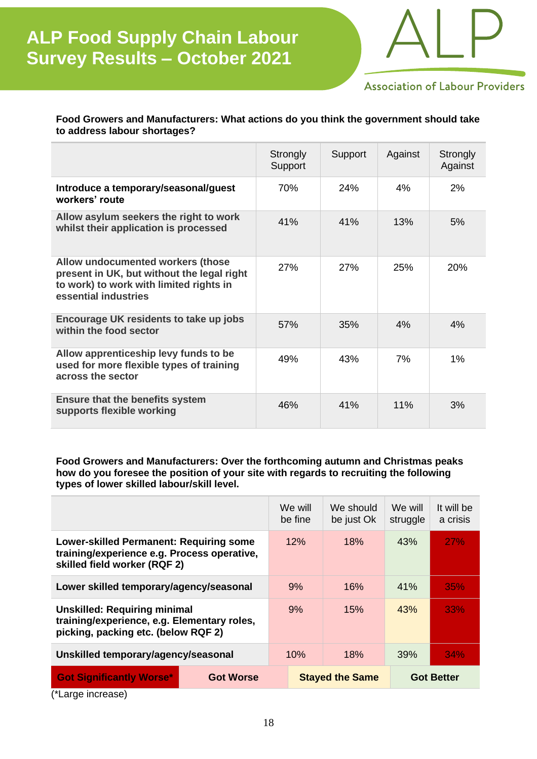

**Association of Labour Providers** 

### **Food Growers and Manufacturers: What actions do you think the government should take to address labour shortages?**

|                                                                                                                                                    | Strongly<br>Support | Support | Against | Strongly<br>Against |
|----------------------------------------------------------------------------------------------------------------------------------------------------|---------------------|---------|---------|---------------------|
| Introduce a temporary/seasonal/guest<br>workers' route                                                                                             | 70%                 | 24%     | 4%      | 2%                  |
| Allow asylum seekers the right to work<br>whilst their application is processed                                                                    | 41%                 | 41%     | 13%     | 5%                  |
| Allow undocumented workers (those<br>present in UK, but without the legal right<br>to work) to work with limited rights in<br>essential industries | 27%                 | 27%     | 25%     | 20%                 |
| Encourage UK residents to take up jobs<br>within the food sector                                                                                   | 57%                 | 35%     | 4%      | 4%                  |
| Allow apprenticeship levy funds to be<br>used for more flexible types of training<br>across the sector                                             | 49%                 | 43%     | 7%      | 1%                  |
| <b>Ensure that the benefits system</b><br>supports flexible working                                                                                | 46%                 | 41%     | 11%     | 3%                  |

**Food Growers and Manufacturers: Over the forthcoming autumn and Christmas peaks how do you foresee the position of your site with regards to recruiting the following types of lower skilled labour/skill level.**

|                                                                                                                               |                  | We will<br>be fine     | We should<br>be just Ok | We will<br>struggle | It will be<br>a crisis |
|-------------------------------------------------------------------------------------------------------------------------------|------------------|------------------------|-------------------------|---------------------|------------------------|
| <b>Lower-skilled Permanent: Requiring some</b><br>training/experience e.g. Process operative,<br>skilled field worker (RQF 2) |                  | 12%                    | 18%                     | 43%                 | <b>27%</b>             |
| Lower skilled temporary/agency/seasonal                                                                                       |                  | 9%                     | 16%                     | 41%                 | 35%                    |
| <b>Unskilled: Requiring minimal</b><br>training/experience, e.g. Elementary roles,<br>picking, packing etc. (below RQF 2)     |                  | 9%                     | 15%                     | 43%                 | 33%                    |
| Unskilled temporary/agency/seasonal                                                                                           |                  | 10%                    | 18%                     | 39%                 | 34%                    |
| <b>Got Significantly Worse*</b>                                                                                               | <b>Got Worse</b> | <b>Stayed the Same</b> |                         | <b>Got Better</b>   |                        |

(\*Large increase)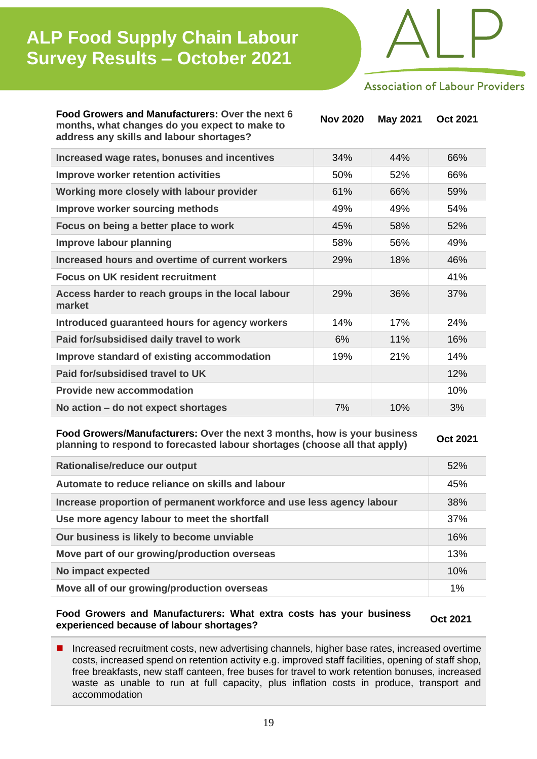

**Association of Labour Providers** 

**Food Growers and Manufacturers: Over the next 6 months, what changes do you expect to make to address any skills and labour shortages?**

**Nov 2020 May 2021 Oct 2021 Increased wage rates, bonuses and incentives** 34% 44% 66% **Improve worker retention activities** 66% 52% 66% **Working more closely with labour provider** 61% 66% 59% **Improve worker sourcing methods** 19% 49% 49% 54% **Focus on being a better place to work** 45% 45% 58% 52% 29% 36% 37%

| Improve labour planning                                     | 58% | 56% | 49% |
|-------------------------------------------------------------|-----|-----|-----|
| Increased hours and overtime of current workers             | 29% | 18% | 46% |
| <b>Focus on UK resident recruitment</b>                     |     |     | 41% |
| Access harder to reach groups in the local labour<br>market | 29% | 36% | 37% |
| Introduced guaranteed hours for agency workers              | 14% | 17% | 24% |
| Paid for/subsidised daily travel to work                    | 6%  | 11% | 16% |
| Improve standard of existing accommodation                  | 19% | 21% | 14% |
| Paid for/subsidised travel to UK                            |     |     | 12% |
| <b>Provide new accommodation</b>                            |     |     | 10% |
| No action – do not expect shortages                         | 7%  | 10% | 3%  |

**Food Growers/Manufacturers: Over the next 3 months, how is your business planning to respond to forecasted labour shortages (choose all that apply) Oct 2021** *Oct 2021* 

| Rationalise/reduce our output                                         | 52% |
|-----------------------------------------------------------------------|-----|
| Automate to reduce reliance on skills and labour                      | 45% |
| Increase proportion of permanent workforce and use less agency labour | 38% |
| Use more agency labour to meet the shortfall                          | 37% |
| Our business is likely to become unviable                             | 16% |
| Move part of our growing/production overseas                          | 13% |
| No impact expected                                                    | 10% |
| Move all of our growing/production overseas                           | 1%  |

**Food Growers and Manufacturers: What extra costs has your business experienced because of labour shortages? Oct <sup>2021</sup>**

■ Increased recruitment costs, new advertising channels, higher base rates, increased overtime costs, increased spend on retention activity e.g. improved staff facilities, opening of staff shop, free breakfasts, new staff canteen, free buses for travel to work retention bonuses, increased waste as unable to run at full capacity, plus inflation costs in produce, transport and accommodation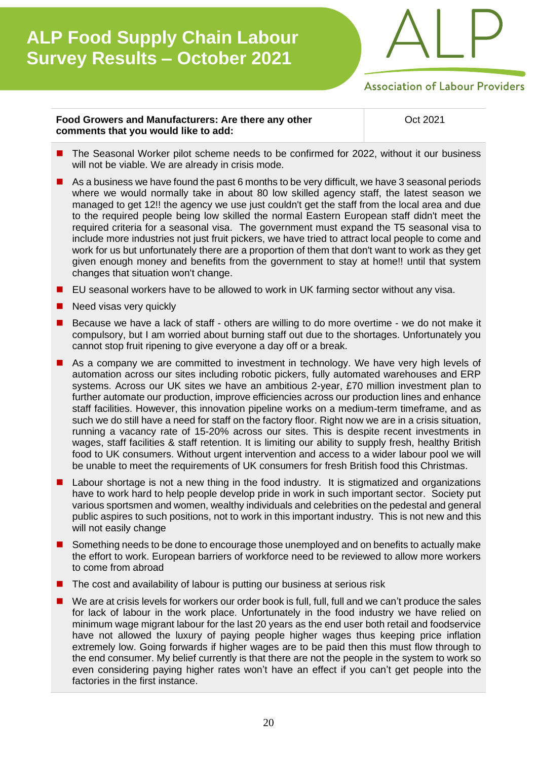

**Association of Labour Providers** 

#### **Food Growers and Manufacturers: Are there any other comments that you would like to add:**

Oct 2021

- The Seasonal Worker pilot scheme needs to be confirmed for 2022, without it our business will not be viable. We are already in crisis mode.
- As a business we have found the past 6 months to be very difficult, we have 3 seasonal periods where we would normally take in about 80 low skilled agency staff, the latest season we managed to get 12!! the agency we use just couldn't get the staff from the local area and due to the required people being low skilled the normal Eastern European staff didn't meet the required criteria for a seasonal visa. The government must expand the T5 seasonal visa to include more industries not just fruit pickers, we have tried to attract local people to come and work for us but unfortunately there are a proportion of them that don't want to work as they get given enough money and benefits from the government to stay at home!! until that system changes that situation won't change.
- EU seasonal workers have to be allowed to work in UK farming sector without any visa.
- Need visas very quickly
- ◼ Because we have a lack of staff others are willing to do more overtime we do not make it compulsory, but I am worried about burning staff out due to the shortages. Unfortunately you cannot stop fruit ripening to give everyone a day off or a break.
- As a company we are committed to investment in technology. We have very high levels of automation across our sites including robotic pickers, fully automated warehouses and ERP systems. Across our UK sites we have an ambitious 2-year, £70 million investment plan to further automate our production, improve efficiencies across our production lines and enhance staff facilities. However, this innovation pipeline works on a medium-term timeframe, and as such we do still have a need for staff on the factory floor. Right now we are in a crisis situation, running a vacancy rate of 15-20% across our sites. This is despite recent investments in wages, staff facilities & staff retention. It is limiting our ability to supply fresh, healthy British food to UK consumers. Without urgent intervention and access to a wider labour pool we will be unable to meet the requirements of UK consumers for fresh British food this Christmas.
- Labour shortage is not a new thing in the food industry. It is stigmatized and organizations have to work hard to help people develop pride in work in such important sector. Society put various sportsmen and women, wealthy individuals and celebrities on the pedestal and general public aspires to such positions, not to work in this important industry. This is not new and this will not easily change
- Something needs to be done to encourage those unemployed and on benefits to actually make the effort to work. European barriers of workforce need to be reviewed to allow more workers to come from abroad
- The cost and availability of labour is putting our business at serious risk
- We are at crisis levels for workers our order book is full, full, full and we can't produce the sales for lack of labour in the work place. Unfortunately in the food industry we have relied on minimum wage migrant labour for the last 20 years as the end user both retail and foodservice have not allowed the luxury of paying people higher wages thus keeping price inflation extremely low. Going forwards if higher wages are to be paid then this must flow through to the end consumer. My belief currently is that there are not the people in the system to work so even considering paying higher rates won't have an effect if you can't get people into the factories in the first instance.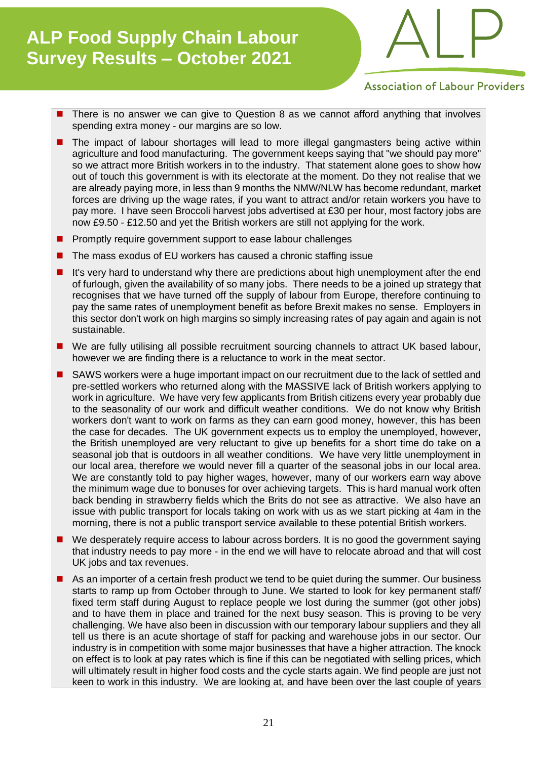

**Association of Labour Providers** 

- There is no answer we can give to Question 8 as we cannot afford anything that involves spending extra money - our margins are so low.
- The impact of labour shortages will lead to more illegal gangmasters being active within agriculture and food manufacturing. The government keeps saying that "we should pay more" so we attract more British workers in to the industry. That statement alone goes to show how out of touch this government is with its electorate at the moment. Do they not realise that we are already paying more, in less than 9 months the NMW/NLW has become redundant, market forces are driving up the wage rates, if you want to attract and/or retain workers you have to pay more. I have seen Broccoli harvest jobs advertised at £30 per hour, most factory jobs are now £9.50 - £12.50 and yet the British workers are still not applying for the work.
- Promptly require government support to ease labour challenges
- The mass exodus of EU workers has caused a chronic staffing issue
- It's very hard to understand why there are predictions about high unemployment after the end of furlough, given the availability of so many jobs. There needs to be a joined up strategy that recognises that we have turned off the supply of labour from Europe, therefore continuing to pay the same rates of unemployment benefit as before Brexit makes no sense. Employers in this sector don't work on high margins so simply increasing rates of pay again and again is not sustainable.
- We are fully utilising all possible recruitment sourcing channels to attract UK based labour, however we are finding there is a reluctance to work in the meat sector.
- SAWS workers were a huge important impact on our recruitment due to the lack of settled and pre-settled workers who returned along with the MASSIVE lack of British workers applying to work in agriculture. We have very few applicants from British citizens every year probably due to the seasonality of our work and difficult weather conditions. We do not know why British workers don't want to work on farms as they can earn good money, however, this has been the case for decades. The UK government expects us to employ the unemployed, however, the British unemployed are very reluctant to give up benefits for a short time do take on a seasonal job that is outdoors in all weather conditions. We have very little unemployment in our local area, therefore we would never fill a quarter of the seasonal jobs in our local area. We are constantly told to pay higher wages, however, many of our workers earn way above the minimum wage due to bonuses for over achieving targets. This is hard manual work often back bending in strawberry fields which the Brits do not see as attractive. We also have an issue with public transport for locals taking on work with us as we start picking at 4am in the morning, there is not a public transport service available to these potential British workers.
- We desperately require access to labour across borders. It is no good the government saying that industry needs to pay more - in the end we will have to relocate abroad and that will cost UK jobs and tax revenues.
- As an importer of a certain fresh product we tend to be quiet during the summer. Our business starts to ramp up from October through to June. We started to look for key permanent staff/ fixed term staff during August to replace people we lost during the summer (got other jobs) and to have them in place and trained for the next busy season. This is proving to be very challenging. We have also been in discussion with our temporary labour suppliers and they all tell us there is an acute shortage of staff for packing and warehouse jobs in our sector. Our industry is in competition with some major businesses that have a higher attraction. The knock on effect is to look at pay rates which is fine if this can be negotiated with selling prices, which will ultimately result in higher food costs and the cycle starts again. We find people are just not keen to work in this industry. We are looking at, and have been over the last couple of years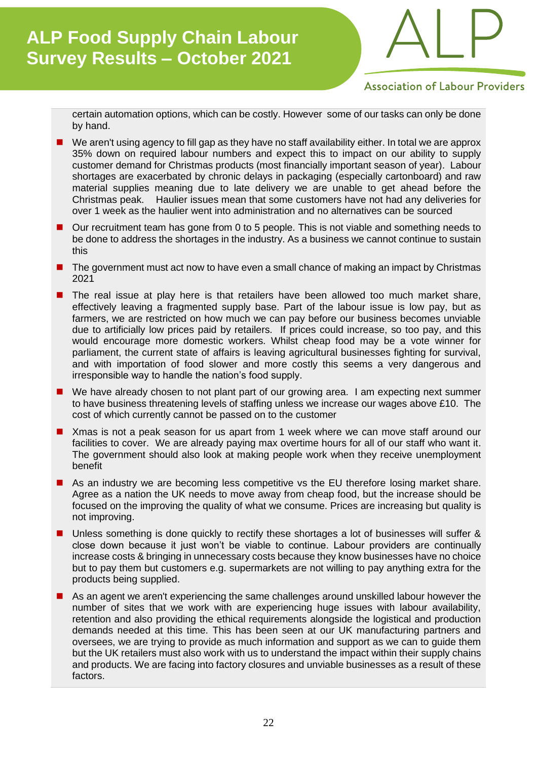

**Association of Labour Providers** 

certain automation options, which can be costly. However some of our tasks can only be done by hand.

- We aren't using agency to fill gap as they have no staff availability either. In total we are approx 35% down on required labour numbers and expect this to impact on our ability to supply customer demand for Christmas products (most financially important season of year). Labour shortages are exacerbated by chronic delays in packaging (especially cartonboard) and raw material supplies meaning due to late delivery we are unable to get ahead before the Christmas peak. Haulier issues mean that some customers have not had any deliveries for over 1 week as the haulier went into administration and no alternatives can be sourced
- Our recruitment team has gone from 0 to 5 people. This is not viable and something needs to be done to address the shortages in the industry. As a business we cannot continue to sustain this
- The government must act now to have even a small chance of making an impact by Christmas 2021
- The real issue at play here is that retailers have been allowed too much market share, effectively leaving a fragmented supply base. Part of the labour issue is low pay, but as farmers, we are restricted on how much we can pay before our business becomes unviable due to artificially low prices paid by retailers. If prices could increase, so too pay, and this would encourage more domestic workers. Whilst cheap food may be a vote winner for parliament, the current state of affairs is leaving agricultural businesses fighting for survival, and with importation of food slower and more costly this seems a very dangerous and irresponsible way to handle the nation's food supply.
- We have already chosen to not plant part of our growing area. I am expecting next summer to have business threatening levels of staffing unless we increase our wages above £10. The cost of which currently cannot be passed on to the customer
- Xmas is not a peak season for us apart from 1 week where we can move staff around our facilities to cover. We are already paying max overtime hours for all of our staff who want it. The government should also look at making people work when they receive unemployment benefit
- As an industry we are becoming less competitive vs the EU therefore losing market share. Agree as a nation the UK needs to move away from cheap food, but the increase should be focused on the improving the quality of what we consume. Prices are increasing but quality is not improving.
- Unless something is done quickly to rectify these shortages a lot of businesses will suffer & close down because it just won't be viable to continue. Labour providers are continually increase costs & bringing in unnecessary costs because they know businesses have no choice but to pay them but customers e.g. supermarkets are not willing to pay anything extra for the products being supplied.
- As an agent we aren't experiencing the same challenges around unskilled labour however the number of sites that we work with are experiencing huge issues with labour availability, retention and also providing the ethical requirements alongside the logistical and production demands needed at this time. This has been seen at our UK manufacturing partners and oversees, we are trying to provide as much information and support as we can to guide them but the UK retailers must also work with us to understand the impact within their supply chains and products. We are facing into factory closures and unviable businesses as a result of these factors.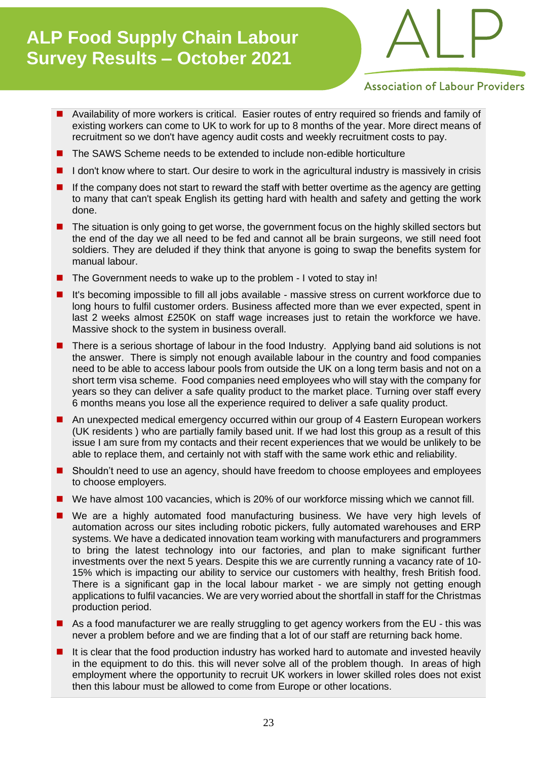

**Association of Labour Providers** 

- Availability of more workers is critical. Easier routes of entry required so friends and family of existing workers can come to UK to work for up to 8 months of the year. More direct means of recruitment so we don't have agency audit costs and weekly recruitment costs to pay.
- The SAWS Scheme needs to be extended to include non-edible horticulture
- I don't know where to start. Our desire to work in the agricultural industry is massively in crisis
- If the company does not start to reward the staff with better overtime as the agency are getting to many that can't speak English its getting hard with health and safety and getting the work done.
- The situation is only going to get worse, the government focus on the highly skilled sectors but the end of the day we all need to be fed and cannot all be brain surgeons, we still need foot soldiers. They are deluded if they think that anyone is going to swap the benefits system for manual labour.
- The Government needs to wake up to the problem I voted to stay in!
- It's becoming impossible to fill all jobs available massive stress on current workforce due to long hours to fulfil customer orders. Business affected more than we ever expected, spent in last 2 weeks almost £250K on staff wage increases just to retain the workforce we have. Massive shock to the system in business overall.
- There is a serious shortage of labour in the food Industry. Applying band aid solutions is not the answer. There is simply not enough available labour in the country and food companies need to be able to access labour pools from outside the UK on a long term basis and not on a short term visa scheme. Food companies need employees who will stay with the company for years so they can deliver a safe quality product to the market place. Turning over staff every 6 months means you lose all the experience required to deliver a safe quality product.
- An unexpected medical emergency occurred within our group of 4 Eastern European workers (UK residents ) who are partially family based unit. If we had lost this group as a result of this issue I am sure from my contacts and their recent experiences that we would be unlikely to be able to replace them, and certainly not with staff with the same work ethic and reliability.
- Shouldn't need to use an agency, should have freedom to choose employees and employees to choose employers.
- We have almost 100 vacancies, which is 20% of our workforce missing which we cannot fill.
- We are a highly automated food manufacturing business. We have very high levels of automation across our sites including robotic pickers, fully automated warehouses and ERP systems. We have a dedicated innovation team working with manufacturers and programmers to bring the latest technology into our factories, and plan to make significant further investments over the next 5 years. Despite this we are currently running a vacancy rate of 10- 15% which is impacting our ability to service our customers with healthy, fresh British food. There is a significant gap in the local labour market - we are simply not getting enough applications to fulfil vacancies. We are very worried about the shortfall in staff for the Christmas production period.
- As a food manufacturer we are really struggling to get agency workers from the EU this was never a problem before and we are finding that a lot of our staff are returning back home.
- It is clear that the food production industry has worked hard to automate and invested heavily in the equipment to do this. this will never solve all of the problem though. In areas of high employment where the opportunity to recruit UK workers in lower skilled roles does not exist then this labour must be allowed to come from Europe or other locations.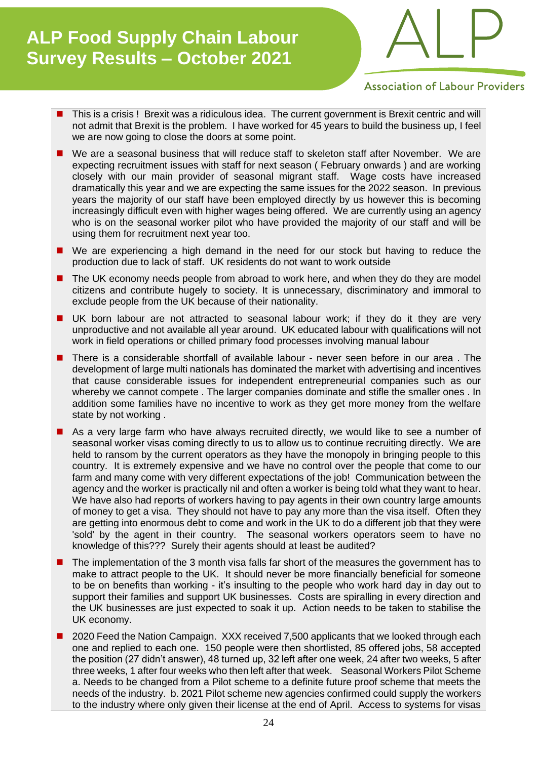

**Association of Labour Providers** 

- This is a crisis ! Brexit was a ridiculous idea. The current government is Brexit centric and will not admit that Brexit is the problem. I have worked for 45 years to build the business up, I feel we are now going to close the doors at some point.
- We are a seasonal business that will reduce staff to skeleton staff after November. We are expecting recruitment issues with staff for next season ( February onwards ) and are working closely with our main provider of seasonal migrant staff. Wage costs have increased dramatically this year and we are expecting the same issues for the 2022 season. In previous years the majority of our staff have been employed directly by us however this is becoming increasingly difficult even with higher wages being offered. We are currently using an agency who is on the seasonal worker pilot who have provided the majority of our staff and will be using them for recruitment next year too.
- We are experiencing a high demand in the need for our stock but having to reduce the production due to lack of staff. UK residents do not want to work outside
- The UK economy needs people from abroad to work here, and when they do they are model citizens and contribute hugely to society. It is unnecessary, discriminatory and immoral to exclude people from the UK because of their nationality.
- UK born labour are not attracted to seasonal labour work; if they do it they are very unproductive and not available all year around. UK educated labour with qualifications will not work in field operations or chilled primary food processes involving manual labour
- There is a considerable shortfall of available labour never seen before in our area. The development of large multi nationals has dominated the market with advertising and incentives that cause considerable issues for independent entrepreneurial companies such as our whereby we cannot compete . The larger companies dominate and stifle the smaller ones . In addition some families have no incentive to work as they get more money from the welfare state by not working .
- As a very large farm who have always recruited directly, we would like to see a number of seasonal worker visas coming directly to us to allow us to continue recruiting directly. We are held to ransom by the current operators as they have the monopoly in bringing people to this country. It is extremely expensive and we have no control over the people that come to our farm and many come with very different expectations of the job! Communication between the agency and the worker is practically nil and often a worker is being told what they want to hear. We have also had reports of workers having to pay agents in their own country large amounts of money to get a visa. They should not have to pay any more than the visa itself. Often they are getting into enormous debt to come and work in the UK to do a different job that they were 'sold' by the agent in their country. The seasonal workers operators seem to have no knowledge of this??? Surely their agents should at least be audited?
- The implementation of the 3 month visa falls far short of the measures the government has to make to attract people to the UK. It should never be more financially beneficial for someone to be on benefits than working - it's insulting to the people who work hard day in day out to support their families and support UK businesses. Costs are spiralling in every direction and the UK businesses are just expected to soak it up. Action needs to be taken to stabilise the UK economy.
- 2020 Feed the Nation Campaign. XXX received 7,500 applicants that we looked through each one and replied to each one. 150 people were then shortlisted, 85 offered jobs, 58 accepted the position (27 didn't answer), 48 turned up, 32 left after one week, 24 after two weeks, 5 after three weeks, 1 after four weeks who then left after that week. Seasonal Workers Pilot Scheme a. Needs to be changed from a Pilot scheme to a definite future proof scheme that meets the needs of the industry. b. 2021 Pilot scheme new agencies confirmed could supply the workers to the industry where only given their license at the end of April. Access to systems for visas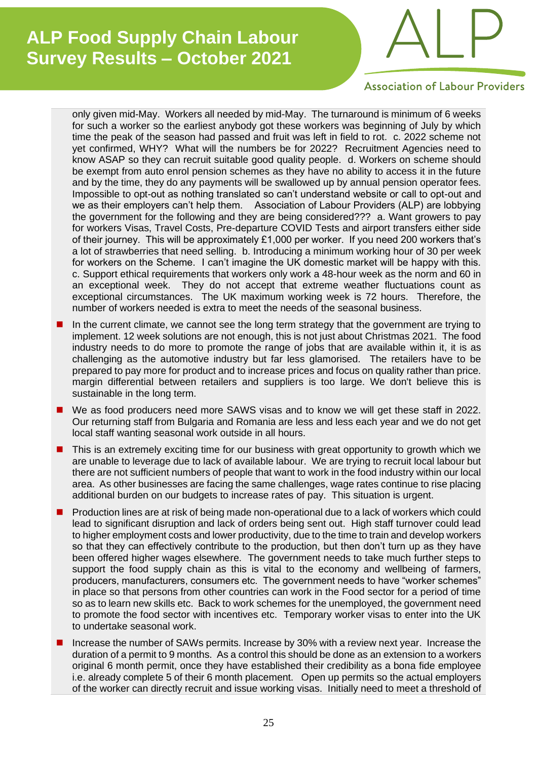

**Association of Labour Providers** 

only given mid-May. Workers all needed by mid-May. The turnaround is minimum of 6 weeks for such a worker so the earliest anybody got these workers was beginning of July by which time the peak of the season had passed and fruit was left in field to rot. c. 2022 scheme not yet confirmed, WHY? What will the numbers be for 2022? Recruitment Agencies need to know ASAP so they can recruit suitable good quality people. d. Workers on scheme should be exempt from auto enrol pension schemes as they have no ability to access it in the future and by the time, they do any payments will be swallowed up by annual pension operator fees. Impossible to opt-out as nothing translated so can't understand website or call to opt-out and we as their employers can't help them. Association of Labour Providers (ALP) are lobbying the government for the following and they are being considered??? a. Want growers to pay for workers Visas, Travel Costs, Pre-departure COVID Tests and airport transfers either side of their journey. This will be approximately £1,000 per worker. If you need 200 workers that's a lot of strawberries that need selling. b. Introducing a minimum working hour of 30 per week for workers on the Scheme. I can't imagine the UK domestic market will be happy with this. c. Support ethical requirements that workers only work a 48-hour week as the norm and 60 in an exceptional week. They do not accept that extreme weather fluctuations count as exceptional circumstances. The UK maximum working week is 72 hours. Therefore, the number of workers needed is extra to meet the needs of the seasonal business.

- In the current climate, we cannot see the long term strategy that the government are trying to implement. 12 week solutions are not enough, this is not just about Christmas 2021. The food industry needs to do more to promote the range of jobs that are available within it, it is as challenging as the automotive industry but far less glamorised. The retailers have to be prepared to pay more for product and to increase prices and focus on quality rather than price. margin differential between retailers and suppliers is too large. We don't believe this is sustainable in the long term.
- We as food producers need more SAWS visas and to know we will get these staff in 2022. Our returning staff from Bulgaria and Romania are less and less each year and we do not get local staff wanting seasonal work outside in all hours.
- This is an extremely exciting time for our business with great opportunity to growth which we are unable to leverage due to lack of available labour. We are trying to recruit local labour but there are not sufficient numbers of people that want to work in the food industry within our local area. As other businesses are facing the same challenges, wage rates continue to rise placing additional burden on our budgets to increase rates of pay. This situation is urgent.
- Production lines are at risk of being made non-operational due to a lack of workers which could lead to significant disruption and lack of orders being sent out. High staff turnover could lead to higher employment costs and lower productivity, due to the time to train and develop workers so that they can effectively contribute to the production, but then don't turn up as they have been offered higher wages elsewhere. The government needs to take much further steps to support the food supply chain as this is vital to the economy and wellbeing of farmers, producers, manufacturers, consumers etc. The government needs to have "worker schemes" in place so that persons from other countries can work in the Food sector for a period of time so as to learn new skills etc. Back to work schemes for the unemployed, the government need to promote the food sector with incentives etc. Temporary worker visas to enter into the UK to undertake seasonal work.
- Increase the number of SAWs permits. Increase by 30% with a review next year. Increase the duration of a permit to 9 months. As a control this should be done as an extension to a workers original 6 month permit, once they have established their credibility as a bona fide employee i.e. already complete 5 of their 6 month placement. Open up permits so the actual employers of the worker can directly recruit and issue working visas. Initially need to meet a threshold of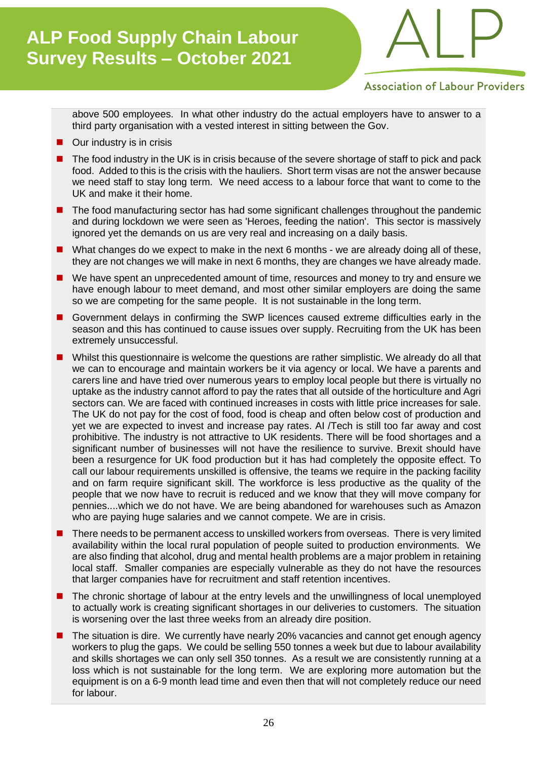

**Association of Labour Providers** 

above 500 employees. In what other industry do the actual employers have to answer to a third party organisation with a vested interest in sitting between the Gov.

- Our industry is in crisis
- The food industry in the UK is in crisis because of the severe shortage of staff to pick and pack food. Added to this is the crisis with the hauliers. Short term visas are not the answer because we need staff to stay long term. We need access to a labour force that want to come to the UK and make it their home.
- The food manufacturing sector has had some significant challenges throughout the pandemic and during lockdown we were seen as 'Heroes, feeding the nation'. This sector is massively ignored yet the demands on us are very real and increasing on a daily basis.
- What changes do we expect to make in the next 6 months we are already doing all of these, they are not changes we will make in next 6 months, they are changes we have already made.
- We have spent an unprecedented amount of time, resources and money to try and ensure we have enough labour to meet demand, and most other similar employers are doing the same so we are competing for the same people. It is not sustainable in the long term.
- Government delays in confirming the SWP licences caused extreme difficulties early in the season and this has continued to cause issues over supply. Recruiting from the UK has been extremely unsuccessful.
- Whilst this questionnaire is welcome the questions are rather simplistic. We already do all that we can to encourage and maintain workers be it via agency or local. We have a parents and carers line and have tried over numerous years to employ local people but there is virtually no uptake as the industry cannot afford to pay the rates that all outside of the horticulture and Agri sectors can. We are faced with continued increases in costs with little price increases for sale. The UK do not pay for the cost of food, food is cheap and often below cost of production and yet we are expected to invest and increase pay rates. AI /Tech is still too far away and cost prohibitive. The industry is not attractive to UK residents. There will be food shortages and a significant number of businesses will not have the resilience to survive. Brexit should have been a resurgence for UK food production but it has had completely the opposite effect. To call our labour requirements unskilled is offensive, the teams we require in the packing facility and on farm require significant skill. The workforce is less productive as the quality of the people that we now have to recruit is reduced and we know that they will move company for pennies....which we do not have. We are being abandoned for warehouses such as Amazon who are paying huge salaries and we cannot compete. We are in crisis.
- There needs to be permanent access to unskilled workers from overseas. There is very limited availability within the local rural population of people suited to production environments. We are also finding that alcohol, drug and mental health problems are a major problem in retaining local staff. Smaller companies are especially vulnerable as they do not have the resources that larger companies have for recruitment and staff retention incentives.
- The chronic shortage of labour at the entry levels and the unwillingness of local unemployed to actually work is creating significant shortages in our deliveries to customers. The situation is worsening over the last three weeks from an already dire position.
- The situation is dire. We currently have nearly 20% vacancies and cannot get enough agency workers to plug the gaps. We could be selling 550 tonnes a week but due to labour availability and skills shortages we can only sell 350 tonnes. As a result we are consistently running at a loss which is not sustainable for the long term. We are exploring more automation but the equipment is on a 6-9 month lead time and even then that will not completely reduce our need for labour.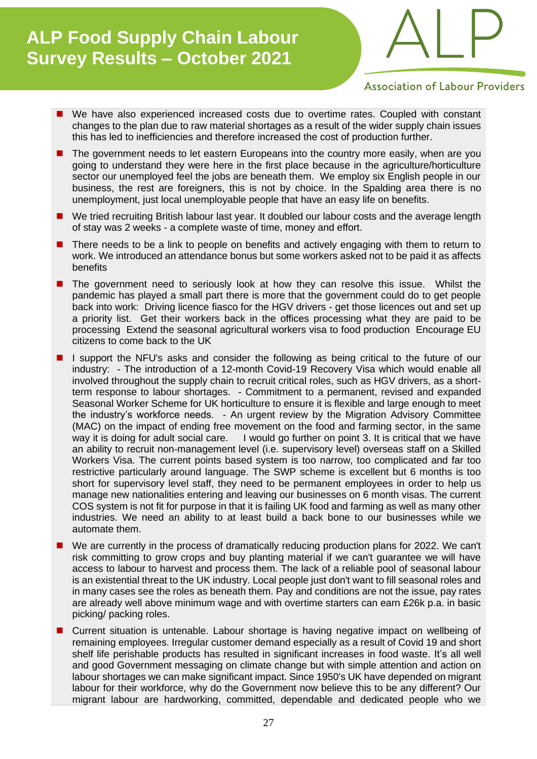

**Association of Labour Providers** 

- We have also experienced increased costs due to overtime rates. Coupled with constant changes to the plan due to raw material shortages as a result of the wider supply chain issues this has led to inefficiencies and therefore increased the cost of production further.
- The government needs to let eastern Europeans into the country more easily, when are you going to understand they were here in the first place because in the agriculture/horticulture sector our unemployed feel the jobs are beneath them. We employ six English people in our business, the rest are foreigners, this is not by choice. In the Spalding area there is no unemployment, just local unemployable people that have an easy life on benefits.
- We tried recruiting British labour last year. It doubled our labour costs and the average length of stay was 2 weeks - a complete waste of time, money and effort.
- There needs to be a link to people on benefits and actively engaging with them to return to work. We introduced an attendance bonus but some workers asked not to be paid it as affects benefits
- The government need to seriously look at how they can resolve this issue. Whilst the pandemic has played a small part there is more that the government could do to get people back into work: Driving licence fiasco for the HGV drivers - get those licences out and set up a priority list. Get their workers back in the offices processing what they are paid to be processing Extend the seasonal agricultural workers visa to food production Encourage EU citizens to come back to the UK
- I support the NFU's asks and consider the following as being critical to the future of our industry: - The introduction of a 12-month Covid-19 Recovery Visa which would enable all involved throughout the supply chain to recruit critical roles, such as HGV drivers, as a shortterm response to labour shortages. - Commitment to a permanent, revised and expanded Seasonal Worker Scheme for UK horticulture to ensure it is flexible and large enough to meet the industry's workforce needs. - An urgent review by the Migration Advisory Committee (MAC) on the impact of ending free movement on the food and farming sector, in the same way it is doing for adult social care. I would go further on point 3. It is critical that we have an ability to recruit non-management level (i.e. supervisory level) overseas staff on a Skilled Workers Visa. The current points based system is too narrow, too complicated and far too restrictive particularly around language. The SWP scheme is excellent but 6 months is too short for supervisory level staff, they need to be permanent employees in order to help us manage new nationalities entering and leaving our businesses on 6 month visas. The current COS system is not fit for purpose in that it is failing UK food and farming as well as many other industries. We need an ability to at least build a back bone to our businesses while we automate them.
- We are currently in the process of dramatically reducing production plans for 2022. We can't risk committing to grow crops and buy planting material if we can't guarantee we will have access to labour to harvest and process them. The lack of a reliable pool of seasonal labour is an existential threat to the UK industry. Local people just don't want to fill seasonal roles and in many cases see the roles as beneath them. Pay and conditions are not the issue, pay rates are already well above minimum wage and with overtime starters can earn £26k p.a. in basic picking/ packing roles.
- Current situation is untenable. Labour shortage is having negative impact on wellbeing of remaining employees. Irregular customer demand especially as a result of Covid 19 and short shelf life perishable products has resulted in significant increases in food waste. It's all well and good Government messaging on climate change but with simple attention and action on labour shortages we can make significant impact. Since 1950's UK have depended on migrant labour for their workforce, why do the Government now believe this to be any different? Our migrant labour are hardworking, committed, dependable and dedicated people who we